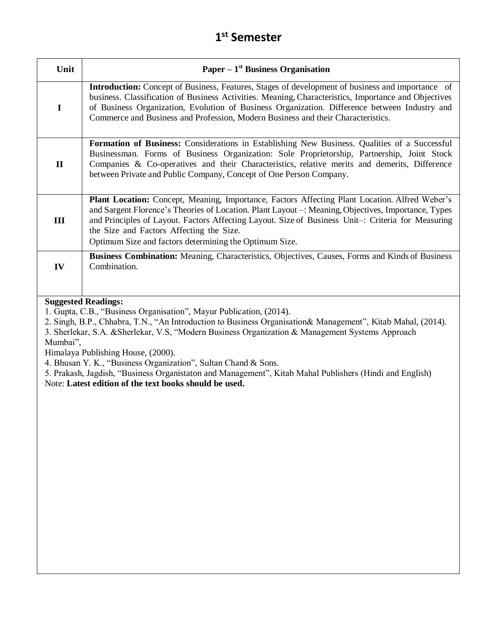| Unit         | Paper – $1st$ Business Organisation                                                                                                                                                                                                                                                                                                                                                                                      |
|--------------|--------------------------------------------------------------------------------------------------------------------------------------------------------------------------------------------------------------------------------------------------------------------------------------------------------------------------------------------------------------------------------------------------------------------------|
| $\mathbf I$  | <b>Introduction:</b> Concept of Business, Features, Stages of development of business and importance of<br>business. Classification of Business Activities. Meaning, Characteristics, Importance and Objectives<br>of Business Organization, Evolution of Business Organization. Difference between Industry and<br>Commerce and Business and Profession, Modern Business and their Characteristics.                     |
| $\mathbf{I}$ | Formation of Business: Considerations in Establishing New Business. Qualities of a Successful<br>Businessman. Forms of Business Organization: Sole Proprietorship, Partnership, Joint Stock<br>Companies & Co-operatives and their Characteristics, relative merits and demerits, Difference<br>between Private and Public Company, Concept of One Person Company.                                                       |
| Ш            | <b>Plant Location:</b> Concept, Meaning, Importance, Factors Affecting Plant Location. Alfred Weber's<br>and Sargent Florence's Theories of Location. Plant Layout -: Meaning, Objectives, Importance, Types<br>and Principles of Layout. Factors Affecting Layout. Size of Business Unit-: Criteria for Measuring<br>the Size and Factors Affecting the Size.<br>Optimum Size and factors determining the Optimum Size. |
| IV           | <b>Business Combination:</b> Meaning, Characteristics, Objectives, Causes, Forms and Kinds of Business<br>Combination.                                                                                                                                                                                                                                                                                                   |

#### **Suggested Readings:**

1. Gupta, C.B., "Business Organisation", Mayur Publication, (2014).

2. Singh, B.P., Chhabra, T.N., "An Introduction to Business Organisation& Management", Kitab Mahal, (2014).

3. Sherlekar, S.A. &Sherlekar, V.S, "Modern Business Organization & Management Systems Approach Mumbai",

Himalaya Publishing House, (2000).

4. Bhusan Y. K., "Business Organization", Sultan Chand & Sons.

5. Prakash, Jagdish, "Business Organistaton and Management", Kitab Mahal Publishers (Hindi and English) Note: **Latest edition of the text books should be used.**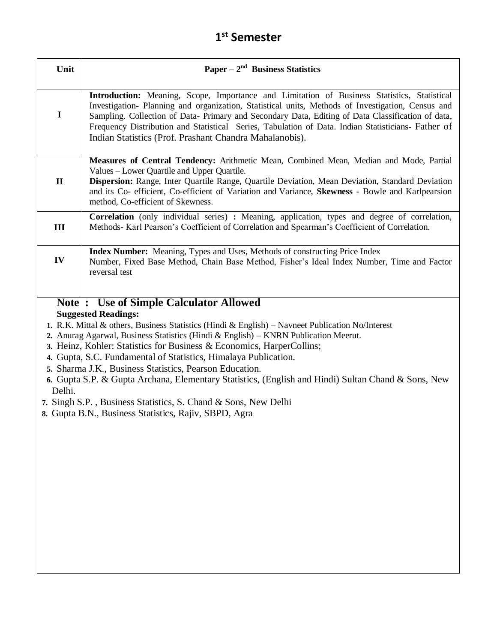| Unit           | Paper $-2nd$ Business Statistics                                                                                                                                                                                                                                                                                                                                                                                                                                                                                                                                                                                                                                                                               |
|----------------|----------------------------------------------------------------------------------------------------------------------------------------------------------------------------------------------------------------------------------------------------------------------------------------------------------------------------------------------------------------------------------------------------------------------------------------------------------------------------------------------------------------------------------------------------------------------------------------------------------------------------------------------------------------------------------------------------------------|
| $\mathbf I$    | Introduction: Meaning, Scope, Importance and Limitation of Business Statistics, Statistical<br>Investigation- Planning and organization, Statistical units, Methods of Investigation, Census and<br>Sampling. Collection of Data- Primary and Secondary Data, Editing of Data Classification of data,<br>Frequency Distribution and Statistical Series, Tabulation of Data. Indian Statisticians- Father of<br>Indian Statistics (Prof. Prashant Chandra Mahalanobis).                                                                                                                                                                                                                                         |
| $\mathbf{I}$   | Measures of Central Tendency: Arithmetic Mean, Combined Mean, Median and Mode, Partial<br>Values – Lower Quartile and Upper Quartile.<br>Dispersion: Range, Inter Quartile Range, Quartile Deviation, Mean Deviation, Standard Deviation<br>and its Co- efficient, Co-efficient of Variation and Variance, Skewness - Bowle and Karlpearsion<br>method, Co-efficient of Skewness.                                                                                                                                                                                                                                                                                                                              |
| $\mathbf{III}$ | Correlation (only individual series) : Meaning, application, types and degree of correlation,<br>Methods- Karl Pearson's Coefficient of Correlation and Spearman's Coefficient of Correlation.                                                                                                                                                                                                                                                                                                                                                                                                                                                                                                                 |
| IV             | <b>Index Number:</b> Meaning, Types and Uses, Methods of constructing Price Index<br>Number, Fixed Base Method, Chain Base Method, Fisher's Ideal Index Number, Time and Factor<br>reversal test                                                                                                                                                                                                                                                                                                                                                                                                                                                                                                               |
| Delhi.         | <b>Note: Use of Simple Calculator Allowed</b><br><b>Suggested Readings:</b><br>1. R.K. Mittal & others, Business Statistics (Hindi & English) – Navneet Publication No/Interest<br>2. Anurag Agarwal, Business Statistics (Hindi & English) – KNRN Publication Meerut.<br>3. Heinz, Kohler: Statistics for Business & Economics, HarperCollins;<br>4. Gupta, S.C. Fundamental of Statistics, Himalaya Publication.<br>5. Sharma J.K., Business Statistics, Pearson Education.<br>6. Gupta S.P. & Gupta Archana, Elementary Statistics, (English and Hindi) Sultan Chand & Sons, New<br>7. Singh S.P., Business Statistics, S. Chand & Sons, New Delhi<br>8. Gupta B.N., Business Statistics, Rajiv, SBPD, Agra |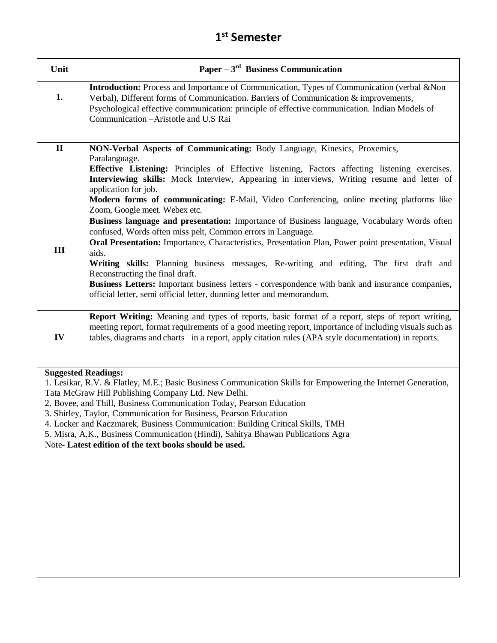| Unit                | Paper $-3rd$ Business Communication                                                                                                                                                                                                                                                                                                                                                                                                                                                                                                                                                                                                                                                                                                                                                                                                                                                                                                                            |
|---------------------|----------------------------------------------------------------------------------------------------------------------------------------------------------------------------------------------------------------------------------------------------------------------------------------------------------------------------------------------------------------------------------------------------------------------------------------------------------------------------------------------------------------------------------------------------------------------------------------------------------------------------------------------------------------------------------------------------------------------------------------------------------------------------------------------------------------------------------------------------------------------------------------------------------------------------------------------------------------|
| 1.                  | Introduction: Process and Importance of Communication, Types of Communication (verbal & Non<br>Verbal), Different forms of Communication. Barriers of Communication & improvements,<br>Psychological effective communication: principle of effective communication. Indian Models of<br>Communication - Aristotle and U.S Rai                                                                                                                                                                                                                                                                                                                                                                                                                                                                                                                                                                                                                                  |
| $\mathbf{I}$<br>III | NON-Verbal Aspects of Communicating: Body Language, Kinesics, Proxemics,<br>Paralanguage.<br>Effective Listening: Principles of Effective listening, Factors affecting listening exercises.<br>Interviewing skills: Mock Interview, Appearing in interviews, Writing resume and letter of<br>application for job.<br>Modern forms of communicating: E-Mail, Video Conferencing, online meeting platforms like<br>Zoom, Google meet. Webex etc.<br>Business language and presentation: Importance of Business language, Vocabulary Words often<br>confused, Words often miss pelt, Common errors in Language.<br>Oral Presentation: Importance, Characteristics, Presentation Plan, Power point presentation, Visual<br>aids.<br>Writing skills: Planning business messages, Re-writing and editing, The first draft and<br>Reconstructing the final draft.<br>Business Letters: Important business letters - correspondence with bank and insurance companies, |
|                     | official letter, semi official letter, dunning letter and memorandum.                                                                                                                                                                                                                                                                                                                                                                                                                                                                                                                                                                                                                                                                                                                                                                                                                                                                                          |
| IV                  | Report Writing: Meaning and types of reports, basic format of a report, steps of report writing,<br>meeting report, format requirements of a good meeting report, importance of including visuals such as<br>tables, diagrams and charts in a report, apply citation rules (APA style documentation) in reports.                                                                                                                                                                                                                                                                                                                                                                                                                                                                                                                                                                                                                                               |

#### **Suggested Readings:**

1. Lesikar, R.V. & Flatley, M.E.; Basic Business Communication Skills for Empowering the Internet Generation, Tata McGraw Hill Publishing Company Ltd. New Delhi.

- 2. Bovee, and Thill, Business Communication Today, Pearson Education
- 3. Shirley, Taylor, Communication for Business, Pearson Education
- 4. Locker and Kaczmarek, Business Communication: Building Critical Skills, TMH
- 5. Misra, A.K., Business Communication (Hindi), Sahitya Bhawan Publications Agra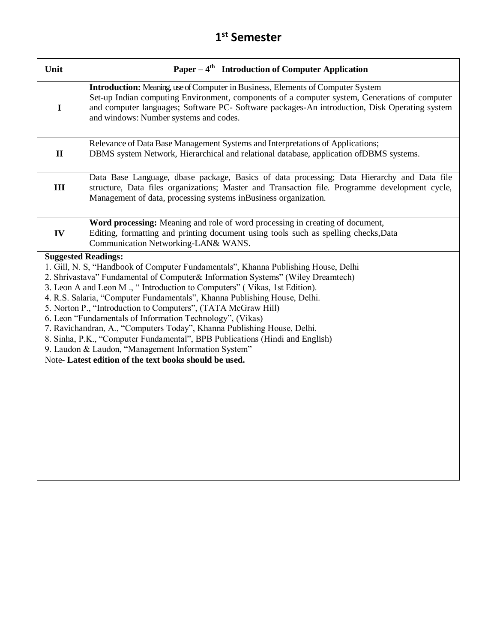| Unit                                                                                                                                                                                                                                                                                                                                                                                                                                                                                                                                                                                                                                                                                                                                                                  | Paper $-4$ <sup>th</sup> Introduction of Computer Application                                                                                                                                                                                                                                                                      |
|-----------------------------------------------------------------------------------------------------------------------------------------------------------------------------------------------------------------------------------------------------------------------------------------------------------------------------------------------------------------------------------------------------------------------------------------------------------------------------------------------------------------------------------------------------------------------------------------------------------------------------------------------------------------------------------------------------------------------------------------------------------------------|------------------------------------------------------------------------------------------------------------------------------------------------------------------------------------------------------------------------------------------------------------------------------------------------------------------------------------|
| $\mathbf I$                                                                                                                                                                                                                                                                                                                                                                                                                                                                                                                                                                                                                                                                                                                                                           | <b>Introduction:</b> Meaning, use of Computer in Business, Elements of Computer System<br>Set-up Indian computing Environment, components of a computer system, Generations of computer<br>and computer languages; Software PC- Software packages-An introduction, Disk Operating system<br>and windows: Number systems and codes. |
| $\mathbf{I}$                                                                                                                                                                                                                                                                                                                                                                                                                                                                                                                                                                                                                                                                                                                                                          | Relevance of Data Base Management Systems and Interpretations of Applications;<br>DBMS system Network, Hierarchical and relational database, application of DBMS systems.                                                                                                                                                          |
| III                                                                                                                                                                                                                                                                                                                                                                                                                                                                                                                                                                                                                                                                                                                                                                   | Data Base Language, dbase package, Basics of data processing; Data Hierarchy and Data file<br>structure, Data files organizations; Master and Transaction file. Programme development cycle,<br>Management of data, processing systems inBusiness organization.                                                                    |
| IV                                                                                                                                                                                                                                                                                                                                                                                                                                                                                                                                                                                                                                                                                                                                                                    | Word processing: Meaning and role of word processing in creating of document,<br>Editing, formatting and printing document using tools such as spelling checks, Data<br>Communication Networking-LAN& WANS.                                                                                                                        |
| <b>Suggested Readings:</b><br>1. Gill, N. S, "Handbook of Computer Fundamentals", Khanna Publishing House, Delhi<br>2. Shrivastava" Fundamental of Computer& Information Systems" (Wiley Dreamtech)<br>3. Leon A and Leon M., "Introduction to Computers" (Vikas, 1st Edition).<br>4. R.S. Salaria, "Computer Fundamentals", Khanna Publishing House, Delhi.<br>5. Norton P., "Introduction to Computers", (TATA McGraw Hill)<br>6. Leon "Fundamentals of Information Technology", (Vikas)<br>7. Ravichandran, A., "Computers Today", Khanna Publishing House, Delhi.<br>8. Sinha, P.K., "Computer Fundamental", BPB Publications (Hindi and English)<br>9. Laudon & Laudon, "Management Information System"<br>Note-Latest edition of the text books should be used. |                                                                                                                                                                                                                                                                                                                                    |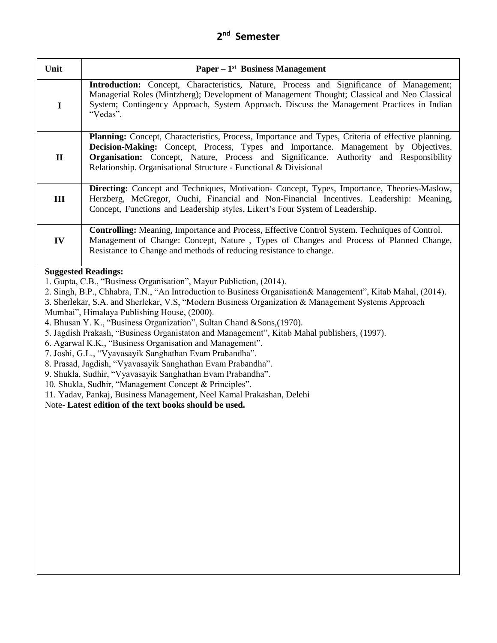| Unit         | <b>Paper</b> – $1^{st}$ Business Management                                                                                                                                                                                                                                                                                                                                                                                                                                                                                                                                                                                                                                                                                                                                                                                                                                                                                                                                                   |
|--------------|-----------------------------------------------------------------------------------------------------------------------------------------------------------------------------------------------------------------------------------------------------------------------------------------------------------------------------------------------------------------------------------------------------------------------------------------------------------------------------------------------------------------------------------------------------------------------------------------------------------------------------------------------------------------------------------------------------------------------------------------------------------------------------------------------------------------------------------------------------------------------------------------------------------------------------------------------------------------------------------------------|
| $\mathbf I$  | Introduction: Concept, Characteristics, Nature, Process and Significance of Management;<br>Managerial Roles (Mintzberg); Development of Management Thought; Classical and Neo Classical<br>System; Contingency Approach, System Approach. Discuss the Management Practices in Indian<br>"Vedas".                                                                                                                                                                                                                                                                                                                                                                                                                                                                                                                                                                                                                                                                                              |
| $\mathbf{I}$ | Planning: Concept, Characteristics, Process, Importance and Types, Criteria of effective planning.<br>Decision-Making: Concept, Process, Types and Importance. Management by Objectives.<br>Organisation: Concept, Nature, Process and Significance. Authority and Responsibility<br>Relationship. Organisational Structure - Functional & Divisional                                                                                                                                                                                                                                                                                                                                                                                                                                                                                                                                                                                                                                         |
| III          | Directing: Concept and Techniques, Motivation- Concept, Types, Importance, Theories-Maslow,<br>Herzberg, McGregor, Ouchi, Financial and Non-Financial Incentives. Leadership: Meaning,<br>Concept, Functions and Leadership styles, Likert's Four System of Leadership.                                                                                                                                                                                                                                                                                                                                                                                                                                                                                                                                                                                                                                                                                                                       |
| IV           | Controlling: Meaning, Importance and Process, Effective Control System. Techniques of Control.<br>Management of Change: Concept, Nature, Types of Changes and Process of Planned Change,<br>Resistance to Change and methods of reducing resistance to change.                                                                                                                                                                                                                                                                                                                                                                                                                                                                                                                                                                                                                                                                                                                                |
|              | <b>Suggested Readings:</b><br>1. Gupta, C.B., "Business Organisation", Mayur Publiction, (2014).<br>2. Singh, B.P., Chhabra, T.N., "An Introduction to Business Organisation & Management", Kitab Mahal, (2014).<br>3. Sherlekar, S.A. and Sherlekar, V.S, "Modern Business Organization & Management Systems Approach<br>Mumbai", Himalaya Publishing House, (2000).<br>4. Bhusan Y. K., "Business Organization", Sultan Chand & Sons, (1970).<br>5. Jagdish Prakash, "Business Organistaton and Management", Kitab Mahal publishers, (1997).<br>6. Agarwal K.K., "Business Organisation and Management".<br>7. Joshi, G.L., "Vyavasayik Sanghathan Evam Prabandha".<br>8. Prasad, Jagdish, "Vyavasayik Sanghathan Evam Prabandha".<br>9. Shukla, Sudhir, "Vyavasayik Sanghathan Evam Prabandha".<br>10. Shukla, Sudhir, "Management Concept & Principles".<br>11. Yadav, Pankaj, Business Management, Neel Kamal Prakashan, Delehi<br>Note-Latest edition of the text books should be used. |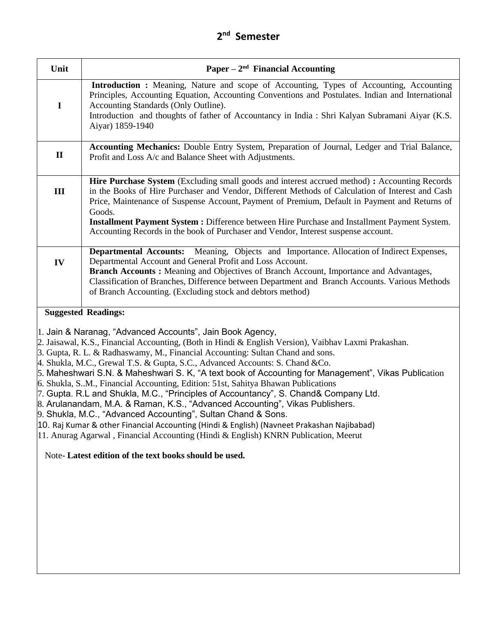| Unit                                                                                                                                                                                                                                                                                                                                                                                                                                                                                                                                                                                                                                                                                                                                                                                                                                                                                                                                                         | Paper $-2nd$ Financial Accounting                                                                                                                                                                                                                                                                                                                                                                              |  |
|--------------------------------------------------------------------------------------------------------------------------------------------------------------------------------------------------------------------------------------------------------------------------------------------------------------------------------------------------------------------------------------------------------------------------------------------------------------------------------------------------------------------------------------------------------------------------------------------------------------------------------------------------------------------------------------------------------------------------------------------------------------------------------------------------------------------------------------------------------------------------------------------------------------------------------------------------------------|----------------------------------------------------------------------------------------------------------------------------------------------------------------------------------------------------------------------------------------------------------------------------------------------------------------------------------------------------------------------------------------------------------------|--|
| $\mathbf I$                                                                                                                                                                                                                                                                                                                                                                                                                                                                                                                                                                                                                                                                                                                                                                                                                                                                                                                                                  | Introduction : Meaning, Nature and scope of Accounting, Types of Accounting, Accounting<br>Principles, Accounting Equation, Accounting Conventions and Postulates. Indian and International<br>Accounting Standards (Only Outline).<br>Introduction and thoughts of father of Accountancy in India : Shri Kalyan Subramani Aiyar (K.S.<br>Aiyar) 1859-1940                                                     |  |
|                                                                                                                                                                                                                                                                                                                                                                                                                                                                                                                                                                                                                                                                                                                                                                                                                                                                                                                                                              |                                                                                                                                                                                                                                                                                                                                                                                                                |  |
| $\mathbf{I}$                                                                                                                                                                                                                                                                                                                                                                                                                                                                                                                                                                                                                                                                                                                                                                                                                                                                                                                                                 | Accounting Mechanics: Double Entry System, Preparation of Journal, Ledger and Trial Balance,<br>Profit and Loss A/c and Balance Sheet with Adjustments.                                                                                                                                                                                                                                                        |  |
| III                                                                                                                                                                                                                                                                                                                                                                                                                                                                                                                                                                                                                                                                                                                                                                                                                                                                                                                                                          | Hire Purchase System (Excluding small goods and interest accrued method) : Accounting Records<br>in the Books of Hire Purchaser and Vendor, Different Methods of Calculation of Interest and Cash<br>Price, Maintenance of Suspense Account, Payment of Premium, Default in Payment and Returns of<br>Goods.                                                                                                   |  |
|                                                                                                                                                                                                                                                                                                                                                                                                                                                                                                                                                                                                                                                                                                                                                                                                                                                                                                                                                              | Installment Payment System : Difference between Hire Purchase and Installment Payment System.<br>Accounting Records in the book of Purchaser and Vendor, Interest suspense account.                                                                                                                                                                                                                            |  |
| IV                                                                                                                                                                                                                                                                                                                                                                                                                                                                                                                                                                                                                                                                                                                                                                                                                                                                                                                                                           | Departmental Accounts: Meaning, Objects and Importance. Allocation of Indirect Expenses,<br>Departmental Account and General Profit and Loss Account.<br>Branch Accounts: Meaning and Objectives of Branch Account, Importance and Advantages,<br>Classification of Branches, Difference between Department and Branch Accounts. Various Methods<br>of Branch Accounting. (Excluding stock and debtors method) |  |
|                                                                                                                                                                                                                                                                                                                                                                                                                                                                                                                                                                                                                                                                                                                                                                                                                                                                                                                                                              | <b>Suggested Readings:</b>                                                                                                                                                                                                                                                                                                                                                                                     |  |
| 1. Jain & Naranag, "Advanced Accounts", Jain Book Agency,<br>2. Jaisawal, K.S., Financial Accounting, (Both in Hindi & English Version), Vaibhav Laxmi Prakashan.<br>3. Gupta, R. L. & Radhaswamy, M., Financial Accounting: Sultan Chand and sons.<br>4. Shukla, M.C., Grewal T.S. & Gupta, S.C., Advanced Accounts: S. Chand & Co.<br>5. Maheshwari S.N. & Maheshwari S. K, "A text book of Accounting for Management", Vikas Publication<br>6. Shukla, S.M., Financial Accounting, Edition: 51st, Sahitya Bhawan Publications<br>7. Gupta. R.L and Shukla, M.C., "Principles of Accountancy", S. Chand& Company Ltd.<br>8. Arulanandam, M.A. & Raman, K.S., "Advanced Accounting", Vikas Publishers.<br>9. Shukla, M.C., "Advanced Accounting", Sultan Chand & Sons.<br>10. Raj Kumar & other Financial Accounting (Hindi & English) (Navneet Prakashan Najibabad)<br>11. Anurag Agarwal, Financial Accounting (Hindi & English) KNRN Publication, Meerut |                                                                                                                                                                                                                                                                                                                                                                                                                |  |
|                                                                                                                                                                                                                                                                                                                                                                                                                                                                                                                                                                                                                                                                                                                                                                                                                                                                                                                                                              | Note-Latest edition of the text books should be used.                                                                                                                                                                                                                                                                                                                                                          |  |
|                                                                                                                                                                                                                                                                                                                                                                                                                                                                                                                                                                                                                                                                                                                                                                                                                                                                                                                                                              |                                                                                                                                                                                                                                                                                                                                                                                                                |  |
|                                                                                                                                                                                                                                                                                                                                                                                                                                                                                                                                                                                                                                                                                                                                                                                                                                                                                                                                                              |                                                                                                                                                                                                                                                                                                                                                                                                                |  |
|                                                                                                                                                                                                                                                                                                                                                                                                                                                                                                                                                                                                                                                                                                                                                                                                                                                                                                                                                              |                                                                                                                                                                                                                                                                                                                                                                                                                |  |
|                                                                                                                                                                                                                                                                                                                                                                                                                                                                                                                                                                                                                                                                                                                                                                                                                                                                                                                                                              |                                                                                                                                                                                                                                                                                                                                                                                                                |  |
|                                                                                                                                                                                                                                                                                                                                                                                                                                                                                                                                                                                                                                                                                                                                                                                                                                                                                                                                                              |                                                                                                                                                                                                                                                                                                                                                                                                                |  |
|                                                                                                                                                                                                                                                                                                                                                                                                                                                                                                                                                                                                                                                                                                                                                                                                                                                                                                                                                              |                                                                                                                                                                                                                                                                                                                                                                                                                |  |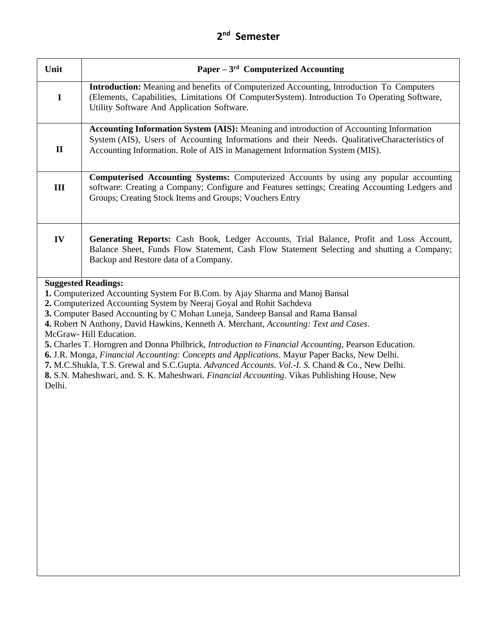| Unit         | Paper $-3^{rd}$ Computerized Accounting                                                                                                                                                                                                                                                                                                                                                                                                                                                                                                                                                                                                                                                                                                                              |
|--------------|----------------------------------------------------------------------------------------------------------------------------------------------------------------------------------------------------------------------------------------------------------------------------------------------------------------------------------------------------------------------------------------------------------------------------------------------------------------------------------------------------------------------------------------------------------------------------------------------------------------------------------------------------------------------------------------------------------------------------------------------------------------------|
| $\mathbf I$  | <b>Introduction:</b> Meaning and benefits of Computerized Accounting, Introduction To Computers<br>(Elements, Capabilities, Limitations Of ComputerSystem). Introduction To Operating Software,<br>Utility Software And Application Software.                                                                                                                                                                                                                                                                                                                                                                                                                                                                                                                        |
| $\mathbf{I}$ | Accounting Information System {AIS}: Meaning and introduction of Accounting Information<br>System (AIS), Users of Accounting Informations and their Needs. QualitativeCharacteristics of<br>Accounting Information. Role of AIS in Management Information System (MIS).                                                                                                                                                                                                                                                                                                                                                                                                                                                                                              |
| III          | Computerised Accounting Systems: Computerized Accounts by using any popular accounting<br>software: Creating a Company; Configure and Features settings; Creating Accounting Ledgers and<br>Groups; Creating Stock Items and Groups; Vouchers Entry                                                                                                                                                                                                                                                                                                                                                                                                                                                                                                                  |
| IV           | Generating Reports: Cash Book, Ledger Accounts, Trial Balance, Profit and Loss Account,<br>Balance Sheet, Funds Flow Statement, Cash Flow Statement Selecting and shutting a Company;<br>Backup and Restore data of a Company.                                                                                                                                                                                                                                                                                                                                                                                                                                                                                                                                       |
| Delhi.       | 1. Computerized Accounting System For B.Com. by Ajay Sharma and Manoj Bansal<br>2. Computerized Accounting System by Neeraj Goyal and Rohit Sachdeva<br>3. Computer Based Accounting by C Mohan Luneja, Sandeep Bansal and Rama Bansal<br>4. Robert N Anthony, David Hawkins, Kenneth A. Merchant, Accounting: Text and Cases.<br>McGraw-Hill Education.<br>5. Charles T. Horngren and Donna Philbrick, Introduction to Financial Accounting, Pearson Education.<br>6. J.R. Monga, Financial Accounting: Concepts and Applications. Mayur Paper Backs, New Delhi.<br>7. M.C.Shukla, T.S. Grewal and S.C.Gupta. Advanced Accounts. Vol.-I. S. Chand & Co., New Delhi.<br>8. S.N. Maheshwari, and. S. K. Maheshwari. Financial Accounting. Vikas Publishing House, New |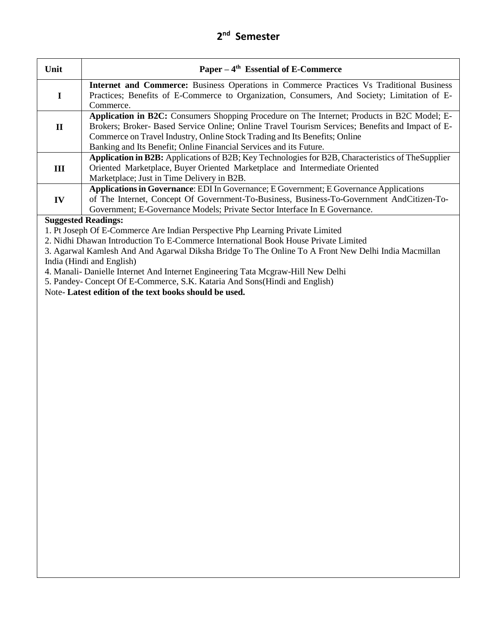| Unit                                                                                                | Paper $-4$ <sup>th</sup> Essential of E-Commerce                                                   |
|-----------------------------------------------------------------------------------------------------|----------------------------------------------------------------------------------------------------|
|                                                                                                     | <b>Internet and Commerce:</b> Business Operations in Commerce Practices Vs Traditional Business    |
|                                                                                                     | Practices; Benefits of E-Commerce to Organization, Consumers, And Society; Limitation of E-        |
|                                                                                                     | Commerce.                                                                                          |
|                                                                                                     | Application in B2C: Consumers Shopping Procedure on The Internet; Products in B2C Model; E-        |
| $\mathbf H$                                                                                         | Brokers; Broker- Based Service Online; Online Travel Tourism Services; Benefits and Impact of E-   |
|                                                                                                     | Commerce on Travel Industry, Online Stock Trading and Its Benefits; Online                         |
|                                                                                                     | Banking and Its Benefit; Online Financial Services and its Future.                                 |
|                                                                                                     | Application in B2B: Applications of B2B; Key Technologies for B2B, Characteristics of The Supplier |
| Ш                                                                                                   | Oriented Marketplace, Buyer Oriented Marketplace and Intermediate Oriented                         |
|                                                                                                     | Marketplace; Just in Time Delivery in B2B.                                                         |
|                                                                                                     | <b>Applications in Governance:</b> EDI In Governance; E Government; E Governance Applications      |
| $\mathbf{IV}$                                                                                       | of The Internet, Concept Of Government-To-Business, Business-To-Government AndCitizen-To-          |
|                                                                                                     | Government; E-Governance Models; Private Sector Interface In E Governance.                         |
|                                                                                                     | <b>Suggested Readings:</b>                                                                         |
|                                                                                                     | 1. Pt Joseph Of E-Commerce Are Indian Perspective Php Learning Private Limited                     |
| 2. Nidhi Dhawan Introduction To E-Commerce International Book House Private Limited                 |                                                                                                    |
| 3. Agarwal Kamlesh And And Agarwal Diksha Bridge To The Online To A Front New Delhi India Macmillan |                                                                                                    |
| India (Hindi and English)                                                                           |                                                                                                    |

4. Manali- Danielle Internet And Internet Engineering Tata Mcgraw-Hill New Delhi

5. Pandey- Concept Of E-Commerce, S.K. Kataria And Sons(Hindi and English)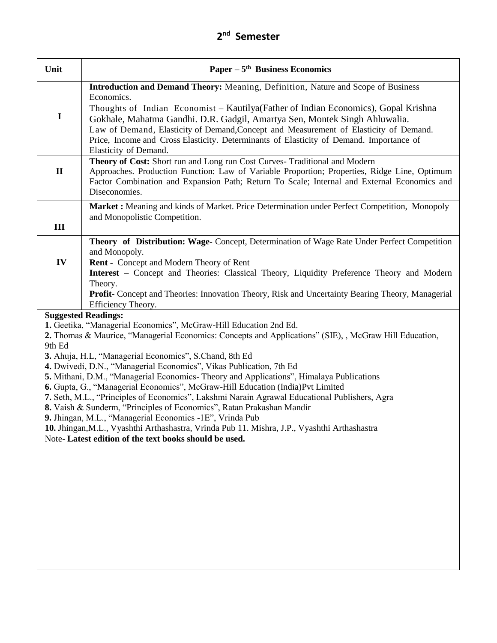| Unit         | Paper $-5$ <sup>th</sup> Business Economics                                                                                                                                                                                                                                                                                                                                                                                                                                                                                                                                                                                                                                                                                                                                                                                                                                                                            |
|--------------|------------------------------------------------------------------------------------------------------------------------------------------------------------------------------------------------------------------------------------------------------------------------------------------------------------------------------------------------------------------------------------------------------------------------------------------------------------------------------------------------------------------------------------------------------------------------------------------------------------------------------------------------------------------------------------------------------------------------------------------------------------------------------------------------------------------------------------------------------------------------------------------------------------------------|
| $\mathbf I$  | Introduction and Demand Theory: Meaning, Definition, Nature and Scope of Business<br>Economics.<br>Thoughts of Indian Economist – Kautilya (Father of Indian Economics), Gopal Krishna<br>Gokhale, Mahatma Gandhi. D.R. Gadgil, Amartya Sen, Montek Singh Ahluwalia.<br>Law of Demand, Elasticity of Demand, Concept and Measurement of Elasticity of Demand.<br>Price, Income and Cross Elasticity. Determinants of Elasticity of Demand. Importance of<br>Elasticity of Demand.                                                                                                                                                                                                                                                                                                                                                                                                                                      |
| $\mathbf{I}$ | Theory of Cost: Short run and Long run Cost Curves- Traditional and Modern<br>Approaches. Production Function: Law of Variable Proportion; Properties, Ridge Line, Optimum<br>Factor Combination and Expansion Path; Return To Scale; Internal and External Economics and<br>Diseconomies.                                                                                                                                                                                                                                                                                                                                                                                                                                                                                                                                                                                                                             |
| III          | Market : Meaning and kinds of Market. Price Determination under Perfect Competition, Monopoly<br>and Monopolistic Competition.                                                                                                                                                                                                                                                                                                                                                                                                                                                                                                                                                                                                                                                                                                                                                                                         |
| IV           | Theory of Distribution: Wage- Concept, Determination of Wage Rate Under Perfect Competition<br>and Monopoly.<br><b>Rent - Concept and Modern Theory of Rent</b><br><b>Interest</b> – Concept and Theories: Classical Theory, Liquidity Preference Theory and Modern<br>Theory.<br><b>Profit-</b> Concept and Theories: Innovation Theory, Risk and Uncertainty Bearing Theory, Managerial<br>Efficiency Theory.                                                                                                                                                                                                                                                                                                                                                                                                                                                                                                        |
| 9th Ed       | <b>Suggested Readings:</b><br>1. Geetika, "Managerial Economics", McGraw-Hill Education 2nd Ed.<br>2. Thomas & Maurice, "Managerial Economics: Concepts and Applications" (SIE), , McGraw Hill Education,<br>3. Ahuja, H.L, "Managerial Economics", S.Chand, 8th Ed<br>4. Dwivedi, D.N., "Managerial Economics", Vikas Publication, 7th Ed<br>5. Mithani, D.M., "Managerial Economics-Theory and Applications", Himalaya Publications<br>6. Gupta, G., "Managerial Economics", McGraw-Hill Education (India)Pvt Limited<br>7. Seth, M.L., "Principles of Economics", Lakshmi Narain Agrawal Educational Publishers, Agra<br>8. Vaish & Sunderm, "Principles of Economics", Ratan Prakashan Mandir<br>9. Jhingan, M.L., "Managerial Economics -1E", Vrinda Pub<br>10. Jhingan, M.L., Vyashthi Arthashastra, Vrinda Pub 11. Mishra, J.P., Vyashthi Arthashastra<br>Note-Latest edition of the text books should be used. |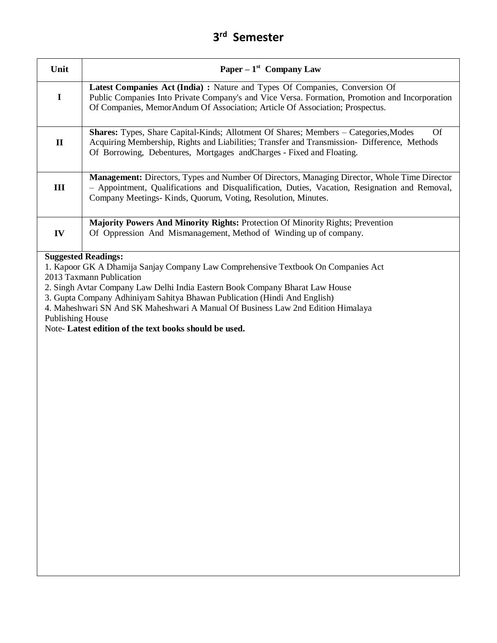| Unit                    | Paper – $1st$ Company Law                                                                                                                                                                                                                                                                                                                                                                                               |
|-------------------------|-------------------------------------------------------------------------------------------------------------------------------------------------------------------------------------------------------------------------------------------------------------------------------------------------------------------------------------------------------------------------------------------------------------------------|
| $\mathbf I$             | Latest Companies Act (India) : Nature and Types Of Companies, Conversion Of<br>Public Companies Into Private Company's and Vice Versa. Formation, Promotion and Incorporation<br>Of Companies, MemorAndum Of Association; Article Of Association; Prospectus.                                                                                                                                                           |
| $\mathbf{I}$            | <b>Shares:</b> Types, Share Capital-Kinds; Allotment Of Shares; Members – Categories, Modes<br><b>Of</b><br>Acquiring Membership, Rights and Liabilities; Transfer and Transmission- Difference, Methods<br>Of Borrowing, Debentures, Mortgages andCharges - Fixed and Floating.                                                                                                                                        |
| Ш                       | Management: Directors, Types and Number Of Directors, Managing Director, Whole Time Director<br>- Appointment, Qualifications and Disqualification, Duties, Vacation, Resignation and Removal,<br>Company Meetings-Kinds, Quorum, Voting, Resolution, Minutes.                                                                                                                                                          |
| IV                      | Majority Powers And Minority Rights: Protection Of Minority Rights; Prevention<br>Of Oppression And Mismanagement, Method of Winding up of company.                                                                                                                                                                                                                                                                     |
| <b>Publishing House</b> | 1. Kapoor GK A Dhamija Sanjay Company Law Comprehensive Textbook On Companies Act<br>2013 Taxmann Publication<br>2. Singh Avtar Company Law Delhi India Eastern Book Company Bharat Law House<br>3. Gupta Company Adhiniyam Sahitya Bhawan Publication (Hindi And English)<br>4. Maheshwari SN And SK Maheshwari A Manual Of Business Law 2nd Edition Himalaya<br>Note-Latest edition of the text books should be used. |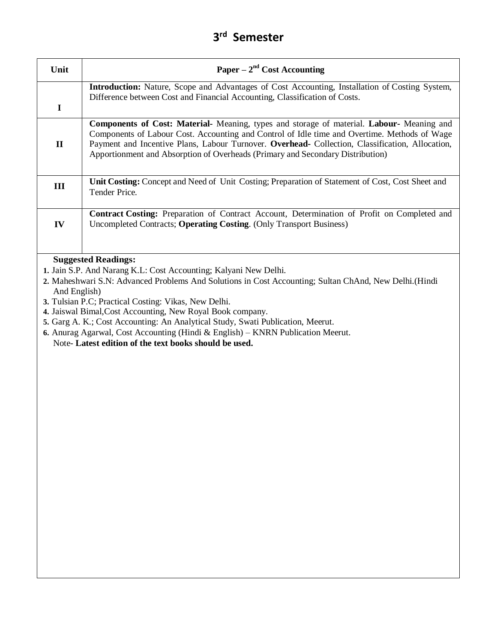| Unit         | Paper – $2nd Cost According$                                                                                                                                                                                                                                                                                                                                                   |
|--------------|--------------------------------------------------------------------------------------------------------------------------------------------------------------------------------------------------------------------------------------------------------------------------------------------------------------------------------------------------------------------------------|
| $\mathbf I$  | <b>Introduction:</b> Nature, Scope and Advantages of Cost Accounting, Installation of Costing System,<br>Difference between Cost and Financial Accounting, Classification of Costs.                                                                                                                                                                                            |
| $\mathbf{I}$ | Components of Cost: Material- Meaning, types and storage of material. Labour- Meaning and<br>Components of Labour Cost. Accounting and Control of Idle time and Overtime. Methods of Wage<br>Payment and Incentive Plans, Labour Turnover. Overhead- Collection, Classification, Allocation,<br>Apportionment and Absorption of Overheads (Primary and Secondary Distribution) |
| Ш            | Unit Costing: Concept and Need of Unit Costing; Preparation of Statement of Cost, Cost Sheet and<br>Tender Price.                                                                                                                                                                                                                                                              |
| IV           | Contract Costing: Preparation of Contract Account, Determination of Profit on Completed and<br>Uncompleted Contracts; Operating Costing. (Only Transport Business)                                                                                                                                                                                                             |
| And English) | 3. Tulsian P.C; Practical Costing: Vikas, New Delhi.<br>4. Jaiswal Bimal, Cost Accounting, New Royal Book company.<br>5. Garg A. K.; Cost Accounting: An Analytical Study, Swati Publication, Meerut.<br>6. Anurag Agarwal, Cost Accounting (Hindi & English) – KNRN Publication Meerut.<br>Note-Latest edition of the text books should be used.                              |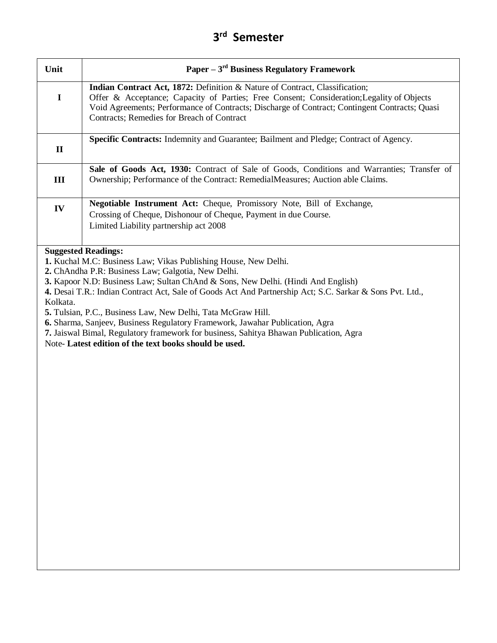| Unit         | Paper $-3^{rd}$ Business Regulatory Framework                                                 |
|--------------|-----------------------------------------------------------------------------------------------|
|              | <b>Indian Contract Act, 1872:</b> Definition & Nature of Contract, Classification;            |
| I            | Offer & Acceptance; Capacity of Parties; Free Consent; Consideration; Legality of Objects     |
|              | Void Agreements; Performance of Contracts; Discharge of Contract; Contingent Contracts; Quasi |
|              | Contracts; Remedies for Breach of Contract                                                    |
|              |                                                                                               |
|              | <b>Specific Contracts:</b> Indemnity and Guarantee; Bailment and Pledge; Contract of Agency.  |
| $\mathbf{I}$ |                                                                                               |
|              |                                                                                               |
|              | Sale of Goods Act, 1930: Contract of Sale of Goods, Conditions and Warranties; Transfer of    |
| Ш            | Ownership; Performance of the Contract: RemedialMeasures; Auction able Claims.                |
|              |                                                                                               |
| IV           | <b>Negotiable Instrument Act:</b> Cheque, Promissory Note, Bill of Exchange,                  |
|              | Crossing of Cheque, Dishonour of Cheque, Payment in due Course.                               |
|              | Limited Liability partnership act 2008                                                        |
|              |                                                                                               |
|              |                                                                                               |
|              | <b>Suggested Readings:</b>                                                                    |

**1.** Kuchal M.C: Business Law; Vikas Publishing House, New Delhi.

**2.** ChAndha P.R: Business Law; Galgotia, New Delhi.

**3.** Kapoor N.D: Business Law; Sultan ChAnd & Sons, New Delhi. (Hindi And English)

**4.** Desai T.R.: Indian Contract Act, Sale of Goods Act And Partnership Act; S.C. Sarkar & Sons Pvt. Ltd., Kolkata.

**5.** Tulsian, P.C., Business Law, New Delhi, Tata McGraw Hill.

**6.** Sharma, Sanjeev, Business Regulatory Framework, Jawahar Publication, Agra

**7.** Jaiswal Bimal, Regulatory framework for business, Sahitya Bhawan Publication, Agra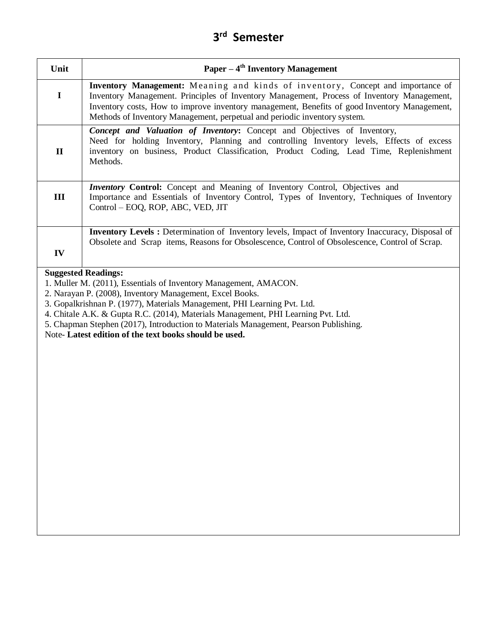| Unit         | Paper $-4th$ Inventory Management                                                                                                                                                                                                                                                                                                                                                                                                              |
|--------------|------------------------------------------------------------------------------------------------------------------------------------------------------------------------------------------------------------------------------------------------------------------------------------------------------------------------------------------------------------------------------------------------------------------------------------------------|
| $\mathbf I$  | Inventory Management: Meaning and kinds of inventory, Concept and importance of<br>Inventory Management. Principles of Inventory Management, Process of Inventory Management,<br>Inventory costs, How to improve inventory management, Benefits of good Inventory Management,<br>Methods of Inventory Management, perpetual and periodic inventory system.                                                                                     |
| $\mathbf{I}$ | Concept and Valuation of Inventory: Concept and Objectives of Inventory,<br>Need for holding Inventory, Planning and controlling Inventory levels, Effects of excess<br>inventory on business, Product Classification, Product Coding, Lead Time, Replenishment<br>Methods.                                                                                                                                                                    |
| III          | Inventory Control: Concept and Meaning of Inventory Control, Objectives and<br>Importance and Essentials of Inventory Control, Types of Inventory, Techniques of Inventory<br>Control - EOQ, ROP, ABC, VED, JIT                                                                                                                                                                                                                                |
| IV           | <b>Inventory Levels :</b> Determination of Inventory levels, Impact of Inventory Inaccuracy, Disposal of<br>Obsolete and Scrap items, Reasons for Obsolescence, Control of Obsolescence, Control of Scrap.                                                                                                                                                                                                                                     |
|              | 1. Muller M. (2011), Essentials of Inventory Management, AMACON.<br>2. Narayan P. (2008), Inventory Management, Excel Books.<br>3. Gopalkrishnan P. (1977), Materials Management, PHI Learning Pvt. Ltd.<br>4. Chitale A.K. & Gupta R.C. (2014), Materials Management, PHI Learning Pvt. Ltd.<br>5. Chapman Stephen (2017), Introduction to Materials Management, Pearson Publishing.<br>Note-Latest edition of the text books should be used. |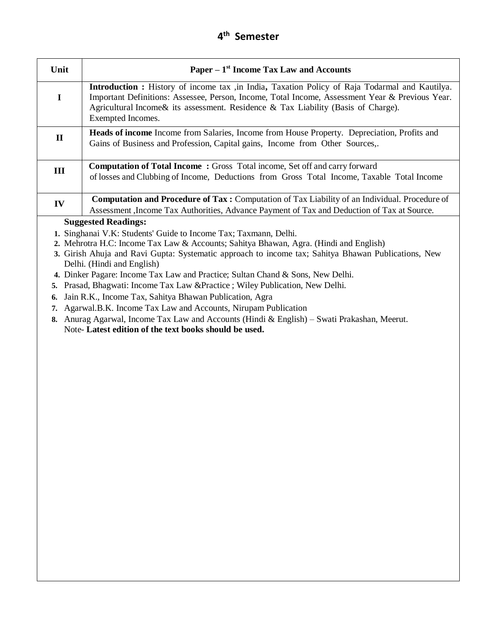| Unit                                                                                                | Paper $-1$ <sup>st</sup> Income Tax Law and Accounts                                                                                                                                                                                                                                                                |  |
|-----------------------------------------------------------------------------------------------------|---------------------------------------------------------------------------------------------------------------------------------------------------------------------------------------------------------------------------------------------------------------------------------------------------------------------|--|
| I                                                                                                   | <b>Introduction :</b> History of income tax ,in India, Taxation Policy of Raja Todarmal and Kautilya.<br>Important Definitions: Assessee, Person, Income, Total Income, Assessment Year & Previous Year.<br>Agricultural Income & its assessment. Residence & Tax Liability (Basis of Charge).<br>Exempted Incomes. |  |
| $\mathbf{I}$                                                                                        | <b>Heads of income</b> Income from Salaries, Income from House Property. Depreciation, Profits and<br>Gains of Business and Profession, Capital gains, Income from Other Sources,.                                                                                                                                  |  |
| Ш                                                                                                   | <b>Computation of Total Income: Gross Total income, Set off and carry forward</b><br>of losses and Clubbing of Income, Deductions from Gross Total Income, Taxable Total Income                                                                                                                                     |  |
| IV                                                                                                  | <b>Computation and Procedure of Tax:</b> Computation of Tax Liability of an Individual. Procedure of<br>Assessment , Income Tax Authorities, Advance Payment of Tax and Deduction of Tax at Source.                                                                                                                 |  |
|                                                                                                     | <b>Suggested Readings:</b>                                                                                                                                                                                                                                                                                          |  |
|                                                                                                     | 1. Singhanai V.K: Students' Guide to Income Tax; Taxmann, Delhi.                                                                                                                                                                                                                                                    |  |
|                                                                                                     | 2. Mehrotra H.C: Income Tax Law & Accounts; Sahitya Bhawan, Agra. (Hindi and English)                                                                                                                                                                                                                               |  |
| 3. Girish Ahuja and Ravi Gupta: Systematic approach to income tax; Sahitya Bhawan Publications, New |                                                                                                                                                                                                                                                                                                                     |  |
| Delhi. (Hindi and English)                                                                          |                                                                                                                                                                                                                                                                                                                     |  |
| 4. Dinker Pagare: Income Tax Law and Practice; Sultan Chand & Sons, New Delhi.                      |                                                                                                                                                                                                                                                                                                                     |  |
| 5.                                                                                                  | Prasad, Bhagwati: Income Tax Law & Practice ; Wiley Publication, New Delhi.                                                                                                                                                                                                                                         |  |
| 6.                                                                                                  | Jain R.K., Income Tax, Sahitya Bhawan Publication, Agra                                                                                                                                                                                                                                                             |  |
| 7.                                                                                                  | Agarwal.B.K. Income Tax Law and Accounts, Nirupam Publication                                                                                                                                                                                                                                                       |  |
|                                                                                                     | 8. Anurag Agarwal, Income Tax Law and Accounts (Hindi & English) - Swati Prakashan, Meerut.                                                                                                                                                                                                                         |  |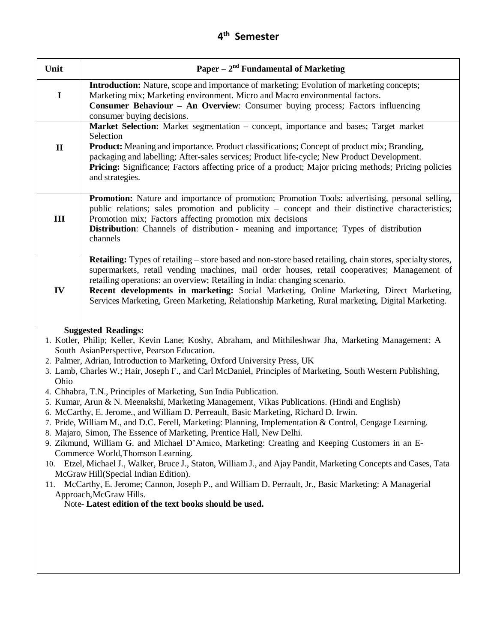| Unit           | Paper – $2nd$ Fundamental of Marketing                                                                                                                                                                                                                                                                                                                                                                                                                                                                                                                                                                                                                                                                                                                                                                                                                                                                                                                                                                                                                                                                                                                                                                                                                                                                                       |
|----------------|------------------------------------------------------------------------------------------------------------------------------------------------------------------------------------------------------------------------------------------------------------------------------------------------------------------------------------------------------------------------------------------------------------------------------------------------------------------------------------------------------------------------------------------------------------------------------------------------------------------------------------------------------------------------------------------------------------------------------------------------------------------------------------------------------------------------------------------------------------------------------------------------------------------------------------------------------------------------------------------------------------------------------------------------------------------------------------------------------------------------------------------------------------------------------------------------------------------------------------------------------------------------------------------------------------------------------|
| $\mathbf I$    | Introduction: Nature, scope and importance of marketing; Evolution of marketing concepts;<br>Marketing mix; Marketing environment. Micro and Macro environmental factors.<br><b>Consumer Behaviour - An Overview:</b> Consumer buying process; Factors influencing<br>consumer buying decisions.                                                                                                                                                                                                                                                                                                                                                                                                                                                                                                                                                                                                                                                                                                                                                                                                                                                                                                                                                                                                                             |
| $\mathbf{I}$   | Market Selection: Market segmentation - concept, importance and bases; Target market<br>Selection<br><b>Product:</b> Meaning and importance. Product classifications; Concept of product mix; Branding,<br>packaging and labelling; After-sales services; Product life-cycle; New Product Development.<br><b>Pricing:</b> Significance; Factors affecting price of a product; Major pricing methods; Pricing policies<br>and strategies.                                                                                                                                                                                                                                                                                                                                                                                                                                                                                                                                                                                                                                                                                                                                                                                                                                                                                     |
| $\mathbf{III}$ | <b>Promotion:</b> Nature and importance of promotion; Promotion Tools: advertising, personal selling,<br>public relations; sales promotion and publicity – concept and their distinctive characteristics;<br>Promotion mix; Factors affecting promotion mix decisions<br>Distribution: Channels of distribution - meaning and importance; Types of distribution<br>channels                                                                                                                                                                                                                                                                                                                                                                                                                                                                                                                                                                                                                                                                                                                                                                                                                                                                                                                                                  |
| IV             | <b>Retailing:</b> Types of retailing – store based and non-store based retailing, chain stores, specialty stores,<br>supermarkets, retail vending machines, mail order houses, retail cooperatives; Management of<br>retailing operations: an overview; Retailing in India: changing scenario.<br>Recent developments in marketing: Social Marketing, Online Marketing, Direct Marketing,<br>Services Marketing, Green Marketing, Relationship Marketing, Rural marketing, Digital Marketing.                                                                                                                                                                                                                                                                                                                                                                                                                                                                                                                                                                                                                                                                                                                                                                                                                                |
| Ohio<br>11.    | <b>Suggested Readings:</b><br>1. Kotler, Philip; Keller, Kevin Lane; Koshy, Abraham, and Mithileshwar Jha, Marketing Management: A<br>South AsianPerspective, Pearson Education.<br>2. Palmer, Adrian, Introduction to Marketing, Oxford University Press, UK<br>3. Lamb, Charles W.; Hair, Joseph F., and Carl McDaniel, Principles of Marketing, South Western Publishing,<br>4. Chhabra, T.N., Principles of Marketing, Sun India Publication.<br>5. Kumar, Arun & N. Meenakshi, Marketing Management, Vikas Publications. (Hindi and English)<br>6. McCarthy, E. Jerome., and William D. Perreault, Basic Marketing, Richard D. Irwin.<br>7. Pride, William M., and D.C. Ferell, Marketing: Planning, Implementation & Control, Cengage Learning.<br>8. Majaro, Simon, The Essence of Marketing, Prentice Hall, New Delhi.<br>9. Zikmund, William G. and Michael D'Amico, Marketing: Creating and Keeping Customers in an E-<br>Commerce World, Thomson Learning.<br>10. Etzel, Michael J., Walker, Bruce J., Staton, William J., and Ajay Pandit, Marketing Concepts and Cases, Tata<br>McGraw Hill(Special Indian Edition).<br>McCarthy, E. Jerome; Cannon, Joseph P., and William D. Perrault, Jr., Basic Marketing: A Managerial<br>Approach, McGraw Hills.<br>Note-Latest edition of the text books should be used. |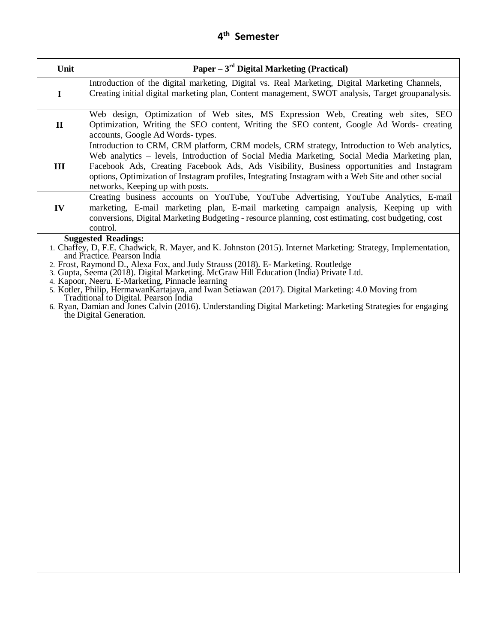| Unit         | Paper $-3rd$ Digital Marketing (Practical)                                                                                                                                                                                                                                                                                                                                                                                                                                                                                                                                                                                                                                                            |
|--------------|-------------------------------------------------------------------------------------------------------------------------------------------------------------------------------------------------------------------------------------------------------------------------------------------------------------------------------------------------------------------------------------------------------------------------------------------------------------------------------------------------------------------------------------------------------------------------------------------------------------------------------------------------------------------------------------------------------|
| $\mathbf I$  | Introduction of the digital marketing, Digital vs. Real Marketing, Digital Marketing Channels,<br>Creating initial digital marketing plan, Content management, SWOT analysis, Target groupanalysis.                                                                                                                                                                                                                                                                                                                                                                                                                                                                                                   |
| $\mathbf{I}$ | Web design, Optimization of Web sites, MS Expression Web, Creating web sites, SEO<br>Optimization, Writing the SEO content, Writing the SEO content, Google Ad Words- creating<br>accounts, Google Ad Words-types.                                                                                                                                                                                                                                                                                                                                                                                                                                                                                    |
| Ш            | Introduction to CRM, CRM platform, CRM models, CRM strategy, Introduction to Web analytics,<br>Web analytics – levels, Introduction of Social Media Marketing, Social Media Marketing plan,<br>Facebook Ads, Creating Facebook Ads, Ads Visibility, Business opportunities and Instagram<br>options, Optimization of Instagram profiles, Integrating Instagram with a Web Site and other social<br>networks, Keeping up with posts.                                                                                                                                                                                                                                                                   |
| IV           | Creating business accounts on YouTube, YouTube Advertising, YouTube Analytics, E-mail<br>marketing, E-mail marketing plan, E-mail marketing campaign analysis, Keeping up with<br>conversions, Digital Marketing Budgeting - resource planning, cost estimating, cost budgeting, cost<br>control.                                                                                                                                                                                                                                                                                                                                                                                                     |
|              | <b>Suggested Readings:</b><br>1. Chaffey, D, F.E. Chadwick, R. Mayer, and K. Johnston (2015). Internet Marketing: Strategy, Implementation,<br>and Practice. Pearson India<br>2. Frost, Raymond D., Alexa Fox, and Judy Strauss (2018). E-Marketing. Routledge<br>3. Gupta, Seema (2018). Digital Marketing. McGraw Hill Education (India) Private Ltd.<br>4. Kapoor, Neeru. E-Marketing, Pinnacle learning<br>5. Kotler, Philip, Hermawan Kartajaya, and Iwan Setiawan (2017). Digital Marketing: 4.0 Moving from<br>Traditional to Digital. Pearson India<br>6. Ryan, Damian and Jones Calvin (2016). Understanding Digital Marketing: Marketing Strategies for engaging<br>the Digital Generation. |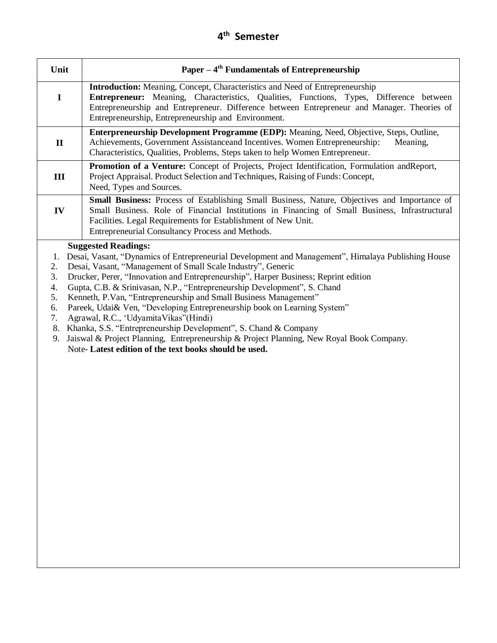| Unit                                         | Paper $-4$ <sup>th</sup> Fundamentals of Entrepreneurship                                                                                                                                                                                                                                                                                                                                                                                                                                                                                                                                                                                                                                                                                                                                |
|----------------------------------------------|------------------------------------------------------------------------------------------------------------------------------------------------------------------------------------------------------------------------------------------------------------------------------------------------------------------------------------------------------------------------------------------------------------------------------------------------------------------------------------------------------------------------------------------------------------------------------------------------------------------------------------------------------------------------------------------------------------------------------------------------------------------------------------------|
| $\mathbf I$                                  | Introduction: Meaning, Concept, Characteristics and Need of Entrepreneurship<br>Entrepreneur: Meaning, Characteristics, Qualities, Functions, Types, Difference between<br>Entrepreneurship and Entrepreneur. Difference between Entrepreneur and Manager. Theories of<br>Entrepreneurship, Entrepreneurship and Environment.                                                                                                                                                                                                                                                                                                                                                                                                                                                            |
| $\mathbf{I}$                                 | <b>Enterpreneurship Development Programme (EDP):</b> Meaning, Need, Objective, Steps, Outline,<br>Achievements, Government Assistanceand Incentives. Women Entrepreneurship:<br>Meaning,<br>Characteristics, Qualities, Problems, Steps taken to help Women Entrepreneur.                                                                                                                                                                                                                                                                                                                                                                                                                                                                                                                |
| III                                          | Promotion of a Venture: Concept of Projects, Project Identification, Formulation and Report,<br>Project Appraisal. Product Selection and Techniques, Raising of Funds: Concept,<br>Need, Types and Sources.                                                                                                                                                                                                                                                                                                                                                                                                                                                                                                                                                                              |
| IV                                           | Small Business: Process of Establishing Small Business, Nature, Objectives and Importance of<br>Small Business. Role of Financial Institutions in Financing of Small Business, Infrastructural<br>Facilities. Legal Requirements for Establishment of New Unit.<br>Entrepreneurial Consultancy Process and Methods.                                                                                                                                                                                                                                                                                                                                                                                                                                                                      |
| 2.<br>3.<br>4.<br>5.<br>6.<br>7.<br>8.<br>9. | <b>Suggested Readings:</b><br>1. Desai, Vasant, "Dynamics of Entrepreneurial Development and Management", Himalaya Publishing House<br>Desai, Vasant, "Management of Small Scale Industry", Generic<br>Drucker, Perer, "Innovation and Entrepreneurship", Harper Business; Reprint edition<br>Gupta, C.B. & Srinivasan, N.P., "Entrepreneurship Development", S. Chand<br>Kenneth, P.Van, "Entrepreneurship and Small Business Management"<br>Pareek, Udai& Ven, "Developing Entrepreneurship book on Learning System"<br>Agrawal, R.C., 'UdyamitaVikas''(Hindi)<br>Khanka, S.S. "Entrepreneurship Development", S. Chand & Company<br>Jaiswal & Project Planning, Entrepreneurship & Project Planning, New Royal Book Company.<br>Note-Latest edition of the text books should be used. |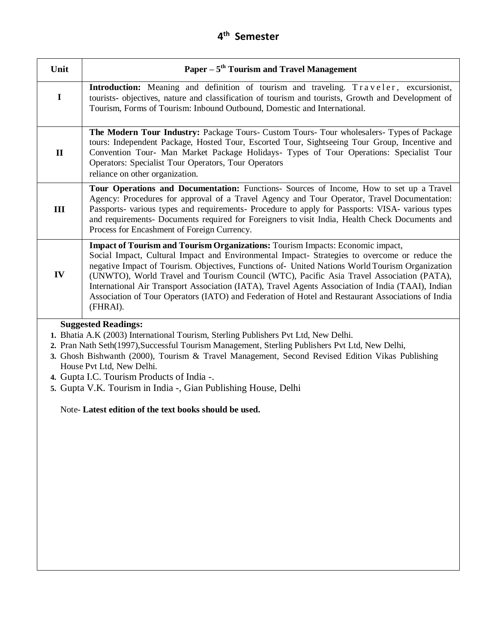| Paper $-5$ <sup>th</sup> Tourism and Travel Management                                                                                                                                                                                                                                                                                                                                                                                                                                                                                                                                               |
|------------------------------------------------------------------------------------------------------------------------------------------------------------------------------------------------------------------------------------------------------------------------------------------------------------------------------------------------------------------------------------------------------------------------------------------------------------------------------------------------------------------------------------------------------------------------------------------------------|
| Introduction: Meaning and definition of tourism and traveling. Traveler, excursionist,<br>tourists- objectives, nature and classification of tourism and tourists, Growth and Development of<br>Tourism, Forms of Tourism: Inbound Outbound, Domestic and International.                                                                                                                                                                                                                                                                                                                             |
| The Modern Tour Industry: Package Tours- Custom Tours- Tour wholesalers- Types of Package<br>tours: Independent Package, Hosted Tour, Escorted Tour, Sightseeing Tour Group, Incentive and<br>Convention Tour- Man Market Package Holidays- Types of Tour Operations: Specialist Tour<br>Operators: Specialist Tour Operators, Tour Operators<br>reliance on other organization.                                                                                                                                                                                                                     |
| Tour Operations and Documentation: Functions- Sources of Income, How to set up a Travel<br>Agency: Procedures for approval of a Travel Agency and Tour Operator, Travel Documentation:<br>Passports- various types and requirements- Procedure to apply for Passports: VISA- various types<br>and requirements- Documents required for Foreigners to visit India, Health Check Documents and<br>Process for Encashment of Foreign Currency.                                                                                                                                                          |
| Impact of Tourism and Tourism Organizations: Tourism Impacts: Economic impact,<br>Social Impact, Cultural Impact and Environmental Impact- Strategies to overcome or reduce the<br>negative Impact of Tourism. Objectives, Functions of- United Nations World Tourism Organization<br>(UNWTO), World Travel and Tourism Council (WTC), Pacific Asia Travel Association (PATA),<br>International Air Transport Association (IATA), Travel Agents Association of India (TAAI), Indian<br>Association of Tour Operators (IATO) and Federation of Hotel and Restaurant Associations of India<br>(FHRAI). |
| <b>Suggested Readings:</b><br>1. Bhatia A.K (2003) International Tourism, Sterling Publishers Pvt Ltd, New Delhi.<br>2. Pran Nath Seth(1997), Successful Tourism Management, Sterling Publishers Pvt Ltd, New Delhi,<br>3. Ghosh Bishwanth (2000), Tourism & Travel Management, Second Revised Edition Vikas Publishing<br>House Pvt Ltd, New Delhi.<br>4. Gupta I.C. Tourism Products of India -.<br>5. Gupta V.K. Tourism in India -, Gian Publishing House, Delhi<br>Note-Latest edition of the text books should be used.                                                                        |
|                                                                                                                                                                                                                                                                                                                                                                                                                                                                                                                                                                                                      |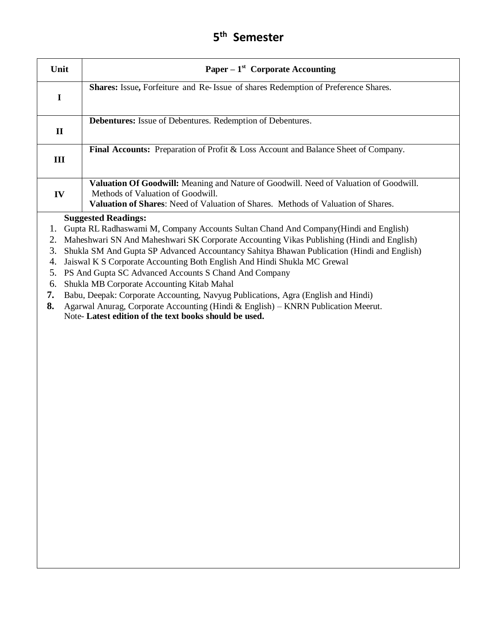| Unit                                         | Paper – $1st$ Corporate Accounting                                                                                                                                                                                                                                                                                                                                                                                                                                                                                                                                                                                                                                                                                                 |
|----------------------------------------------|------------------------------------------------------------------------------------------------------------------------------------------------------------------------------------------------------------------------------------------------------------------------------------------------------------------------------------------------------------------------------------------------------------------------------------------------------------------------------------------------------------------------------------------------------------------------------------------------------------------------------------------------------------------------------------------------------------------------------------|
| $\mathbf I$                                  | Shares: Issue, Forfeiture and Re-Issue of shares Redemption of Preference Shares.                                                                                                                                                                                                                                                                                                                                                                                                                                                                                                                                                                                                                                                  |
| $\mathbf{I}$                                 | Debentures: Issue of Debentures. Redemption of Debentures.                                                                                                                                                                                                                                                                                                                                                                                                                                                                                                                                                                                                                                                                         |
| III                                          | <b>Final Accounts:</b> Preparation of Profit & Loss Account and Balance Sheet of Company.                                                                                                                                                                                                                                                                                                                                                                                                                                                                                                                                                                                                                                          |
| IV                                           | Valuation Of Goodwill: Meaning and Nature of Goodwill. Need of Valuation of Goodwill.<br>Methods of Valuation of Goodwill.<br>Valuation of Shares: Need of Valuation of Shares. Methods of Valuation of Shares.                                                                                                                                                                                                                                                                                                                                                                                                                                                                                                                    |
| 1.<br>2.<br>3.<br>4.<br>5.<br>6.<br>7.<br>8. | <b>Suggested Readings:</b><br>Gupta RL Radhaswami M, Company Accounts Sultan Chand And Company(Hindi and English)<br>Maheshwari SN And Maheshwari SK Corporate Accounting Vikas Publishing (Hindi and English)<br>Shukla SM And Gupta SP Advanced Accountancy Sahitya Bhawan Publication (Hindi and English)<br>Jaiswal K S Corporate Accounting Both English And Hindi Shukla MC Grewal<br>PS And Gupta SC Advanced Accounts S Chand And Company<br>Shukla MB Corporate Accounting Kitab Mahal<br>Babu, Deepak: Corporate Accounting, Navyug Publications, Agra (English and Hindi)<br>Agarwal Anurag, Corporate Accounting (Hindi & English) - KNRN Publication Meerut.<br>Note-Latest edition of the text books should be used. |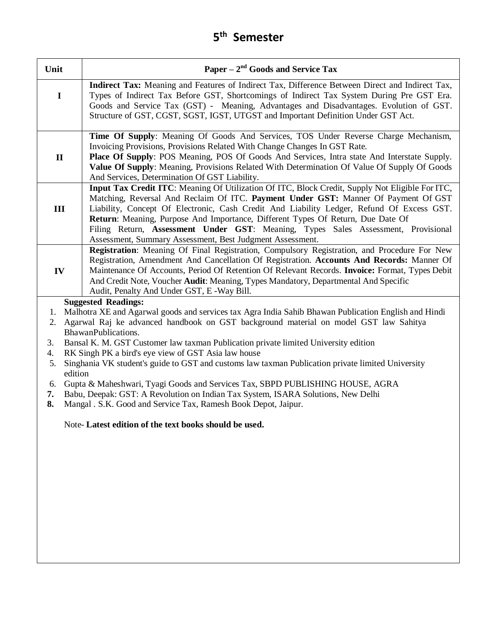| Unit                                                                                                                                                                                                                                                                                                                                                                                                                                                                                                                                                                                                                                                                                                                                                                                                                                                         | Paper – $2nd$ Goods and Service Tax                                                                                                                                                                                                                                                                                                                                                                                                                                                                                     |
|--------------------------------------------------------------------------------------------------------------------------------------------------------------------------------------------------------------------------------------------------------------------------------------------------------------------------------------------------------------------------------------------------------------------------------------------------------------------------------------------------------------------------------------------------------------------------------------------------------------------------------------------------------------------------------------------------------------------------------------------------------------------------------------------------------------------------------------------------------------|-------------------------------------------------------------------------------------------------------------------------------------------------------------------------------------------------------------------------------------------------------------------------------------------------------------------------------------------------------------------------------------------------------------------------------------------------------------------------------------------------------------------------|
| $\mathbf I$                                                                                                                                                                                                                                                                                                                                                                                                                                                                                                                                                                                                                                                                                                                                                                                                                                                  | Indirect Tax: Meaning and Features of Indirect Tax, Difference Between Direct and Indirect Tax,<br>Types of Indirect Tax Before GST, Shortcomings of Indirect Tax System During Pre GST Era.<br>Goods and Service Tax (GST) - Meaning, Advantages and Disadvantages. Evolution of GST.<br>Structure of GST, CGST, SGST, IGST, UTGST and Important Definition Under GST Act.                                                                                                                                             |
| $\mathbf{I}$                                                                                                                                                                                                                                                                                                                                                                                                                                                                                                                                                                                                                                                                                                                                                                                                                                                 | Time Of Supply: Meaning Of Goods And Services, TOS Under Reverse Charge Mechanism,<br>Invoicing Provisions, Provisions Related With Change Changes In GST Rate.<br>Place Of Supply: POS Meaning, POS Of Goods And Services, Intra state And Interstate Supply.<br>Value Of Supply: Meaning, Provisions Related With Determination Of Value Of Supply Of Goods<br>And Services, Determination Of GST Liability.                                                                                                          |
| III                                                                                                                                                                                                                                                                                                                                                                                                                                                                                                                                                                                                                                                                                                                                                                                                                                                          | Input Tax Credit ITC: Meaning Of Utilization Of ITC, Block Credit, Supply Not Eligible For ITC,<br>Matching, Reversal And Reclaim Of ITC. Payment Under GST: Manner Of Payment Of GST<br>Liability, Concept Of Electronic, Cash Credit And Liability Ledger, Refund Of Excess GST.<br>Return: Meaning, Purpose And Importance, Different Types Of Return, Due Date Of<br>Filing Return, Assessment Under GST: Meaning, Types Sales Assessment, Provisional<br>Assessment, Summary Assessment, Best Judgment Assessment. |
| IV                                                                                                                                                                                                                                                                                                                                                                                                                                                                                                                                                                                                                                                                                                                                                                                                                                                           | Registration: Meaning Of Final Registration, Compulsory Registration, and Procedure For New<br>Registration, Amendment And Cancellation Of Registration. Accounts And Records: Manner Of<br>Maintenance Of Accounts, Period Of Retention Of Relevant Records. Invoice: Format, Types Debit<br>And Credit Note, Voucher Audit: Meaning, Types Mandatory, Departmental And Specific<br>Audit, Penalty And Under GST, E -Way Bill.                                                                                         |
| <b>Suggested Readings:</b><br>Malhotra XE and Agarwal goods and services tax Agra India Sahib Bhawan Publication English and Hindi<br>1.<br>2. Agarwal Raj ke advanced handbook on GST background material on model GST law Sahitya<br>BhawanPublications.<br>Bansal K. M. GST Customer law taxman Publication private limited University edition<br>3.<br>RK Singh PK a bird's eye view of GST Asia law house<br>4.<br>Singhania VK student's guide to GST and customs law taxman Publication private limited University<br>5.<br>edition<br>Gupta & Maheshwari, Tyagi Goods and Services Tax, SBPD PUBLISHING HOUSE, AGRA<br>6.<br>Babu, Deepak: GST: A Revolution on Indian Tax System, ISARA Solutions, New Delhi<br>7.<br>8.<br>Mangal . S.K. Good and Service Tax, Ramesh Book Depot, Jaipur.<br>Note-Latest edition of the text books should be used. |                                                                                                                                                                                                                                                                                                                                                                                                                                                                                                                         |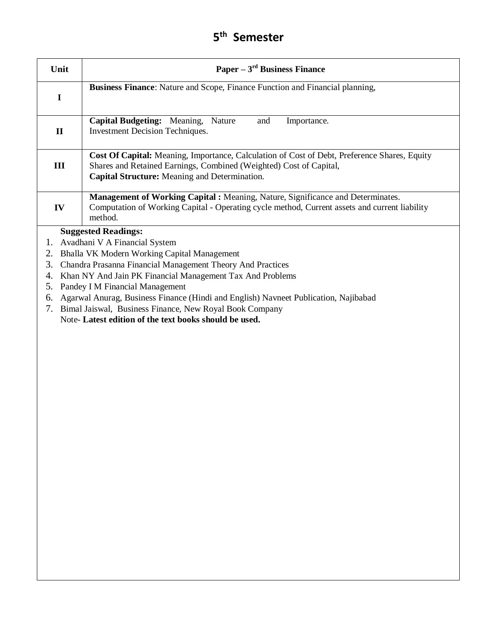| Unit                                   | Paper $-3^{rd}$ Business Finance                                                                                                                                                                                                                                                                                                                                                                                                                                                    |
|----------------------------------------|-------------------------------------------------------------------------------------------------------------------------------------------------------------------------------------------------------------------------------------------------------------------------------------------------------------------------------------------------------------------------------------------------------------------------------------------------------------------------------------|
| $\mathbf I$                            | Business Finance: Nature and Scope, Finance Function and Financial planning,                                                                                                                                                                                                                                                                                                                                                                                                        |
| $\mathbf{I}$                           | <b>Capital Budgeting:</b> Meaning,<br>Nature<br>and<br>Importance.<br><b>Investment Decision Techniques.</b>                                                                                                                                                                                                                                                                                                                                                                        |
| III                                    | Cost Of Capital: Meaning, Importance, Calculation of Cost of Debt, Preference Shares, Equity<br>Shares and Retained Earnings, Combined (Weighted) Cost of Capital,<br>Capital Structure: Meaning and Determination.                                                                                                                                                                                                                                                                 |
| IV                                     | Management of Working Capital : Meaning, Nature, Significance and Determinates.<br>Computation of Working Capital - Operating cycle method, Current assets and current liability<br>method.                                                                                                                                                                                                                                                                                         |
| 1.<br>2.<br>3.<br>4.<br>5.<br>6.<br>7. | <b>Suggested Readings:</b><br>Avadhani V A Financial System<br>Bhalla VK Modern Working Capital Management<br>Chandra Prasanna Financial Management Theory And Practices<br>Khan NY And Jain PK Financial Management Tax And Problems<br>Pandey I M Financial Management<br>Agarwal Anurag, Business Finance (Hindi and English) Navneet Publication, Najibabad<br>Bimal Jaiswal, Business Finance, New Royal Book Company<br>Note-Latest edition of the text books should be used. |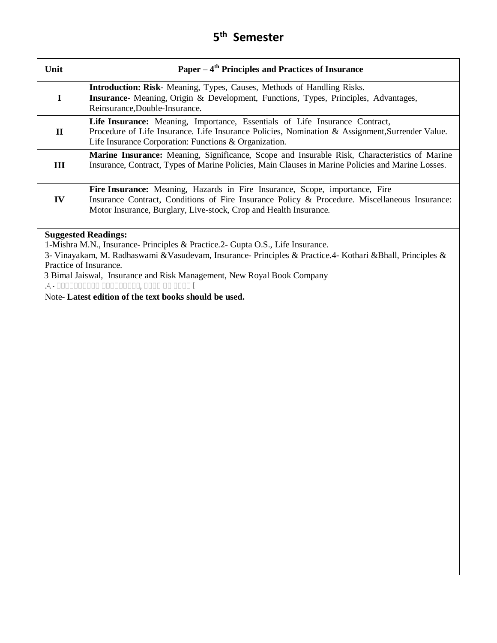| Unit          | Paper $-4$ <sup>th</sup> Principles and Practices of Insurance                                                                                                                                                                                    |
|---------------|---------------------------------------------------------------------------------------------------------------------------------------------------------------------------------------------------------------------------------------------------|
| $\mathbf I$   | <b>Introduction: Risk-</b> Meaning, Types, Causes, Methods of Handling Risks.<br><b>Insurance</b> - Meaning, Origin & Development, Functions, Types, Principles, Advantages,<br>Reinsurance, Double-Insurance.                                    |
| $\mathbf H$   | Life Insurance: Meaning, Importance, Essentials of Life Insurance Contract,<br>Procedure of Life Insurance. Life Insurance Policies, Nomination & Assignment, Surrender Value.<br>Life Insurance Corporation: Functions & Organization.           |
| Ш             | Marine Insurance: Meaning, Significance, Scope and Insurable Risk, Characteristics of Marine<br>Insurance, Contract, Types of Marine Policies, Main Clauses in Marine Policies and Marine Losses.                                                 |
| $\mathbf{IV}$ | Fire Insurance: Meaning, Hazards in Fire Insurance, Scope, importance, Fire<br>Insurance Contract, Conditions of Fire Insurance Policy & Procedure. Miscellaneous Insurance:<br>Motor Insurance, Burglary, Live-stock, Crop and Health Insurance. |
|               | <b>Suggested Readings:</b>                                                                                                                                                                                                                        |

1-Mishra M.N., Insurance- Principles & Practice.2- Gupta O.S., Life Insurance.

3- Vinayakam, M. Radhaswami &Vasudevam, Insurance- Principles & Practice.4- Kothari &Bhall, Principles & Practice of Insurance.

3 Bimal Jaiswal, Insurance and Risk Management, New Royal Book Company

.4. - शशशशशशशशशश शशशशशशशशश, शशशश शश शशशश <sup>I</sup>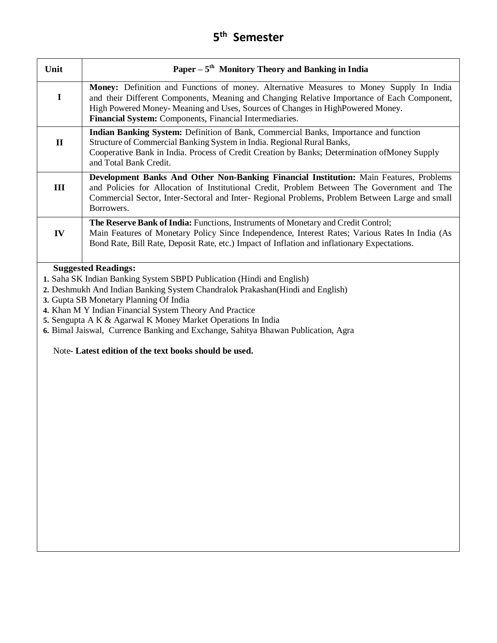| Unit         | Paper $-5$ <sup>th</sup> Monitory Theory and Banking in India                                                                                                                                                                                                                                                                       |
|--------------|-------------------------------------------------------------------------------------------------------------------------------------------------------------------------------------------------------------------------------------------------------------------------------------------------------------------------------------|
|              | Money: Definition and Functions of money. Alternative Measures to Money Supply In India<br>and their Different Components, Meaning and Changing Relative Importance of Each Component,<br>High Powered Money-Meaning and Uses, Sources of Changes in High Powered Money.<br>Financial System: Components, Financial Intermediaries. |
| $\mathbf{H}$ | <b>Indian Banking System:</b> Definition of Bank, Commercial Banks, Importance and function<br>Structure of Commercial Banking System in India. Regional Rural Banks,<br>Cooperative Bank in India. Process of Credit Creation by Banks; Determination of Money Supply<br>and Total Bank Credit.                                    |
| $\mathbf{H}$ | Development Banks And Other Non-Banking Financial Institution: Main Features, Problems<br>and Policies for Allocation of Institutional Credit, Problem Between The Government and The<br>Commercial Sector, Inter-Sectoral and Inter- Regional Problems, Problem Between Large and small<br>Borrowers.                              |
| $\bf{IV}$    | <b>The Reserve Bank of India: Functions, Instruments of Monetary and Credit Control;</b><br>Main Features of Monetary Policy Since Independence, Interest Rates; Various Rates In India (As<br>Bond Rate, Bill Rate, Deposit Rate, etc.) Impact of Inflation and inflationary Expectations.                                         |
|              | <b>Suggested Readings:</b>                                                                                                                                                                                                                                                                                                          |

- **1.** Saha SK Indian Banking System SBPD Publication (Hindi and English)
- **2.** Deshmukh And Indian Banking System Chandralok Prakashan(Hindi and English)
- **3.** Gupta SB Monetary Planning Of India
- **4.** Khan M Y Indian Financial System Theory And Practice
- **5.** Sengupta A K & Agarwal K Money Market Operations In India
- **6.** Bimal Jaiswal, Currence Banking and Exchange, Sahitya Bhawan Publication, Agra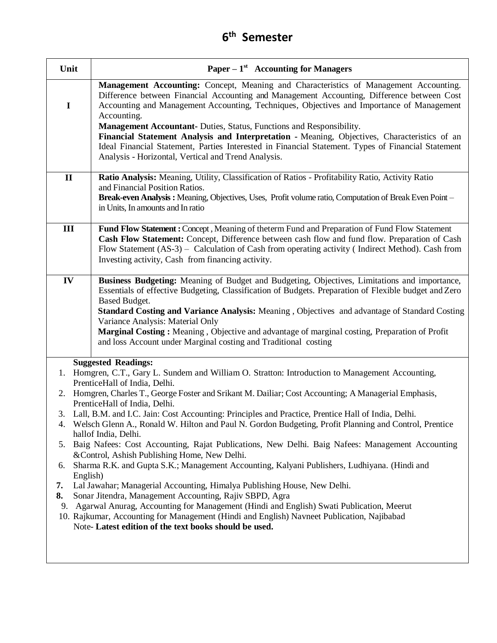| Unit                             | Paper – $1st$ Accounting for Managers                                                                                                                                                                                                                                                                                                                                                                                                                                                                                                                                                                                                                                                                                                                                                                                                                                                                                                                                                                                                                                                                                                                                                                 |
|----------------------------------|-------------------------------------------------------------------------------------------------------------------------------------------------------------------------------------------------------------------------------------------------------------------------------------------------------------------------------------------------------------------------------------------------------------------------------------------------------------------------------------------------------------------------------------------------------------------------------------------------------------------------------------------------------------------------------------------------------------------------------------------------------------------------------------------------------------------------------------------------------------------------------------------------------------------------------------------------------------------------------------------------------------------------------------------------------------------------------------------------------------------------------------------------------------------------------------------------------|
| $\mathbf I$                      | Management Accounting: Concept, Meaning and Characteristics of Management Accounting.<br>Difference between Financial Accounting and Management Accounting, Difference between Cost<br>Accounting and Management Accounting, Techniques, Objectives and Importance of Management<br>Accounting.                                                                                                                                                                                                                                                                                                                                                                                                                                                                                                                                                                                                                                                                                                                                                                                                                                                                                                       |
|                                  | <b>Management Accountant-</b> Duties, Status, Functions and Responsibility.<br>Financial Statement Analysis and Interpretation - Meaning, Objectives, Characteristics of an<br>Ideal Financial Statement, Parties Interested in Financial Statement. Types of Financial Statement<br>Analysis - Horizontal, Vertical and Trend Analysis.                                                                                                                                                                                                                                                                                                                                                                                                                                                                                                                                                                                                                                                                                                                                                                                                                                                              |
| $\mathbf{I}$                     | Ratio Analysis: Meaning, Utility, Classification of Ratios - Profitability Ratio, Activity Ratio<br>and Financial Position Ratios.<br>Break-even Analysis: Meaning, Objectives, Uses, Profit volume ratio, Computation of Break Even Point -<br>in Units, In amounts and In ratio                                                                                                                                                                                                                                                                                                                                                                                                                                                                                                                                                                                                                                                                                                                                                                                                                                                                                                                     |
| III                              | Fund Flow Statement : Concept, Meaning of the term Fund and Preparation of Fund Flow Statement<br>Cash Flow Statement: Concept, Difference between cash flow and fund flow. Preparation of Cash<br>Flow Statement (AS-3) - Calculation of Cash from operating activity (Indirect Method). Cash from<br>Investing activity, Cash from financing activity.                                                                                                                                                                                                                                                                                                                                                                                                                                                                                                                                                                                                                                                                                                                                                                                                                                              |
| IV                               | Business Budgeting: Meaning of Budget and Budgeting, Objectives, Limitations and importance,<br>Essentials of effective Budgeting, Classification of Budgets. Preparation of Flexible budget and Zero<br>Based Budget.<br>Standard Costing and Variance Analysis: Meaning, Objectives and advantage of Standard Costing<br>Variance Analysis: Material Only<br>Marginal Costing: Meaning, Objective and advantage of marginal costing, Preparation of Profit<br>and loss Account under Marginal costing and Traditional costing                                                                                                                                                                                                                                                                                                                                                                                                                                                                                                                                                                                                                                                                       |
| 2.<br>6.<br>English)<br>7.<br>8. | <b>Suggested Readings:</b><br>1. Homgren, C.T., Gary L. Sundem and William O. Stratton: Introduction to Management Accounting,<br>PrenticeHall of India, Delhi.<br>Homgren, Charles T., George Foster and Srikant M. Dailiar; Cost Accounting; A Managerial Emphasis,<br>PrenticeHall of India, Delhi.<br>3. Lall, B.M. and I.C. Jain: Cost Accounting: Principles and Practice, Prentice Hall of India, Delhi.<br>4. Welsch Glenn A., Ronald W. Hilton and Paul N. Gordon Budgeting, Profit Planning and Control, Prentice<br>hallof India, Delhi.<br>5. Baig Nafees: Cost Accounting, Rajat Publications, New Delhi. Baig Nafees: Management Accounting<br>&Control, Ashish Publishing Home, New Delhi.<br>Sharma R.K. and Gupta S.K.; Management Accounting, Kalyani Publishers, Ludhiyana. (Hindi and<br>Lal Jawahar; Managerial Accounting, Himalya Publishing House, New Delhi.<br>Sonar Jitendra, Management Accounting, Rajiv SBPD, Agra<br>9. Agarwal Anurag, Accounting for Management (Hindi and English) Swati Publication, Meerut<br>10. Rajkumar, Accounting for Management (Hindi and English) Navneet Publication, Najibabad<br>Note-Latest edition of the text books should be used. |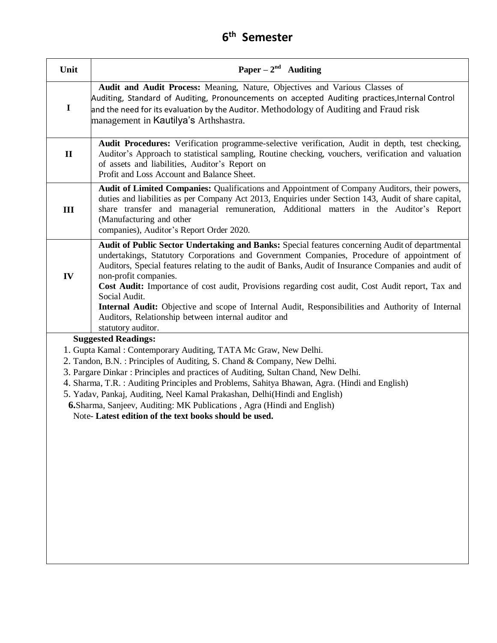| Unit                                                                                                                                                                                                                                                                                                                                                                                                                                                                                                                                                                                    | Paper – $2^{nd}$ Auditing                                                                                                                                                                                                                                                                                                                                                                                                                                                                                                                                                                                                              |
|-----------------------------------------------------------------------------------------------------------------------------------------------------------------------------------------------------------------------------------------------------------------------------------------------------------------------------------------------------------------------------------------------------------------------------------------------------------------------------------------------------------------------------------------------------------------------------------------|----------------------------------------------------------------------------------------------------------------------------------------------------------------------------------------------------------------------------------------------------------------------------------------------------------------------------------------------------------------------------------------------------------------------------------------------------------------------------------------------------------------------------------------------------------------------------------------------------------------------------------------|
| $\mathbf I$                                                                                                                                                                                                                                                                                                                                                                                                                                                                                                                                                                             | Audit and Audit Process: Meaning, Nature, Objectives and Various Classes of<br>Auditing, Standard of Auditing, Pronouncements on accepted Auditing practices, Internal Control<br>and the need for its evaluation by the Auditor. Methodology of Auditing and Fraud risk<br>management in Kautilya's Arthshastra.                                                                                                                                                                                                                                                                                                                      |
| $\mathbf{I}$                                                                                                                                                                                                                                                                                                                                                                                                                                                                                                                                                                            | Audit Procedures: Verification programme-selective verification, Audit in depth, test checking,<br>Auditor's Approach to statistical sampling, Routine checking, vouchers, verification and valuation<br>of assets and liabilities, Auditor's Report on<br>Profit and Loss Account and Balance Sheet.                                                                                                                                                                                                                                                                                                                                  |
| III                                                                                                                                                                                                                                                                                                                                                                                                                                                                                                                                                                                     | Audit of Limited Companies: Qualifications and Appointment of Company Auditors, their powers,<br>duties and liabilities as per Company Act 2013, Enquiries under Section 143, Audit of share capital,<br>share transfer and managerial remuneration, Additional matters in the Auditor's Report<br>(Manufacturing and other<br>companies), Auditor's Report Order 2020.                                                                                                                                                                                                                                                                |
| IV                                                                                                                                                                                                                                                                                                                                                                                                                                                                                                                                                                                      | Audit of Public Sector Undertaking and Banks: Special features concerning Audit of departmental<br>undertakings, Statutory Corporations and Government Companies, Procedure of appointment of<br>Auditors, Special features relating to the audit of Banks, Audit of Insurance Companies and audit of<br>non-profit companies.<br>Cost Audit: Importance of cost audit, Provisions regarding cost audit, Cost Audit report, Tax and<br>Social Audit.<br>Internal Audit: Objective and scope of Internal Audit, Responsibilities and Authority of Internal<br>Auditors, Relationship between internal auditor and<br>statutory auditor. |
| <b>Suggested Readings:</b><br>1. Gupta Kamal: Contemporary Auditing, TATA Mc Graw, New Delhi.<br>2. Tandon, B.N. : Principles of Auditing, S. Chand & Company, New Delhi.<br>3. Pargare Dinkar: Principles and practices of Auditing, Sultan Chand, New Delhi.<br>4. Sharma, T.R.: Auditing Principles and Problems, Sahitya Bhawan, Agra. (Hindi and English)<br>5. Yadav, Pankaj, Auditing, Neel Kamal Prakashan, Delhi(Hindi and English)<br><b>6.</b> Sharma, Sanjeev, Auditing: MK Publications, Agra (Hindi and English)<br>Note-Latest edition of the text books should be used. |                                                                                                                                                                                                                                                                                                                                                                                                                                                                                                                                                                                                                                        |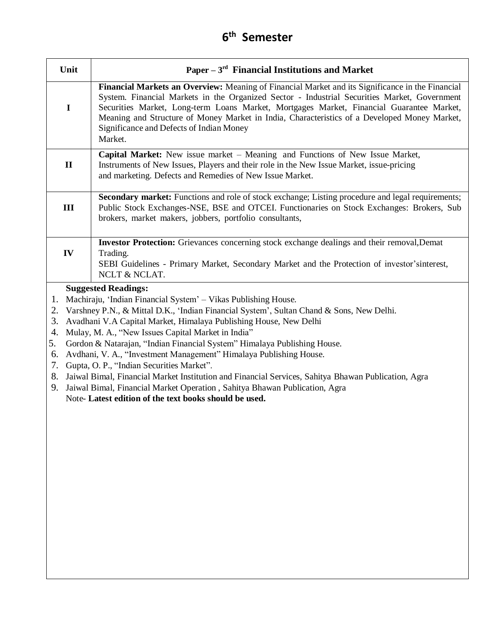| Unit                                                                                                                                                                                                                                                                                                                                                                                                                                                                                                                                                                                                                                                                                                                                                                                                             | Paper $-3^{rd}$ Financial Institutions and Market                                                                                                                                                                                                                                                                                                                                                                                                   |
|------------------------------------------------------------------------------------------------------------------------------------------------------------------------------------------------------------------------------------------------------------------------------------------------------------------------------------------------------------------------------------------------------------------------------------------------------------------------------------------------------------------------------------------------------------------------------------------------------------------------------------------------------------------------------------------------------------------------------------------------------------------------------------------------------------------|-----------------------------------------------------------------------------------------------------------------------------------------------------------------------------------------------------------------------------------------------------------------------------------------------------------------------------------------------------------------------------------------------------------------------------------------------------|
| $\mathbf I$                                                                                                                                                                                                                                                                                                                                                                                                                                                                                                                                                                                                                                                                                                                                                                                                      | Financial Markets an Overview: Meaning of Financial Market and its Significance in the Financial<br>System. Financial Markets in the Organized Sector - Industrial Securities Market, Government<br>Securities Market, Long-term Loans Market, Mortgages Market, Financial Guarantee Market,<br>Meaning and Structure of Money Market in India, Characteristics of a Developed Money Market,<br>Significance and Defects of Indian Money<br>Market. |
| $\mathbf{I}$                                                                                                                                                                                                                                                                                                                                                                                                                                                                                                                                                                                                                                                                                                                                                                                                     | Capital Market: New issue market - Meaning and Functions of New Issue Market,<br>Instruments of New Issues, Players and their role in the New Issue Market, issue-pricing<br>and marketing. Defects and Remedies of New Issue Market.                                                                                                                                                                                                               |
| III                                                                                                                                                                                                                                                                                                                                                                                                                                                                                                                                                                                                                                                                                                                                                                                                              | Secondary market: Functions and role of stock exchange; Listing procedure and legal requirements;<br>Public Stock Exchanges-NSE, BSE and OTCEI. Functionaries on Stock Exchanges: Brokers, Sub<br>brokers, market makers, jobbers, portfolio consultants,                                                                                                                                                                                           |
| IV                                                                                                                                                                                                                                                                                                                                                                                                                                                                                                                                                                                                                                                                                                                                                                                                               | Investor Protection: Grievances concerning stock exchange dealings and their removal, Demat<br>Trading.<br>SEBI Guidelines - Primary Market, Secondary Market and the Protection of investor'sinterest,<br>NCLT & NCLAT.                                                                                                                                                                                                                            |
| <b>Suggested Readings:</b><br>Machiraju, 'Indian Financial System' - Vikas Publishing House.<br>1.<br>Varshney P.N., & Mittal D.K., 'Indian Financial System', Sultan Chand & Sons, New Delhi.<br>2.<br>Avadhani V.A Capital Market, Himalaya Publishing House, New Delhi<br>3.<br>Mulay, M. A., "New Issues Capital Market in India"<br>4.<br>Gordon & Natarajan, "Indian Financial System" Himalaya Publishing House.<br>5.<br>Avdhani, V. A., "Investment Management" Himalaya Publishing House.<br>6.<br>Gupta, O. P., "Indian Securities Market".<br>7.<br>8. Jaiwal Bimal, Financial Market Institution and Financial Services, Sahitya Bhawan Publication, Agra<br>9. Jaiwal Bimal, Financial Market Operation, Sahitya Bhawan Publication, Agra<br>Note-Latest edition of the text books should be used. |                                                                                                                                                                                                                                                                                                                                                                                                                                                     |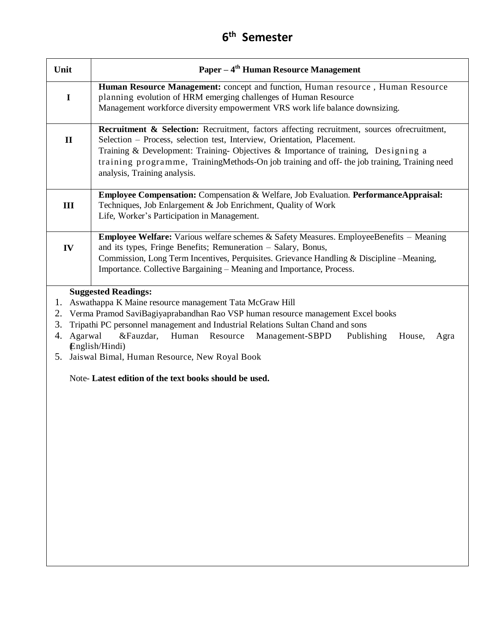| Unit                                  | Paper – 4 <sup>th</sup> Human Resource Management                                                                                                                                                                                                                                                                                                                                                                                                                            |
|---------------------------------------|------------------------------------------------------------------------------------------------------------------------------------------------------------------------------------------------------------------------------------------------------------------------------------------------------------------------------------------------------------------------------------------------------------------------------------------------------------------------------|
| $\mathbf I$                           | Human Resource Management: concept and function, Human resource, Human Resource<br>planning evolution of HRM emerging challenges of Human Resource<br>Management workforce diversity empowerment VRS work life balance downsizing.                                                                                                                                                                                                                                           |
| $\mathbf{I}$                          | Recruitment & Selection: Recruitment, factors affecting recruitment, sources ofrecruitment,<br>Selection - Process, selection test, Interview, Orientation, Placement.<br>Training & Development: Training- Objectives & Importance of training, Designing a<br>training programme, TrainingMethods-On job training and off- the job training, Training need<br>analysis, Training analysis.                                                                                 |
| III                                   | <b>Employee Compensation:</b> Compensation & Welfare, Job Evaluation. PerformanceAppraisal:<br>Techniques, Job Enlargement & Job Enrichment, Quality of Work<br>Life, Worker's Participation in Management.                                                                                                                                                                                                                                                                  |
| IV                                    | <b>Employee Welfare:</b> Various welfare schemes & Safety Measures. EmployeeBenefits - Meaning<br>and its types, Fringe Benefits; Remuneration - Salary, Bonus,<br>Commission, Long Term Incentives, Perquisites. Grievance Handling & Discipline – Meaning,<br>Importance. Collective Bargaining - Meaning and Importance, Process.                                                                                                                                         |
| 1.<br>2.<br>3.<br>Agarwal<br>4.<br>5. | <b>Suggested Readings:</b><br>Aswathappa K Maine resource management Tata McGraw Hill<br>Verma Pramod SaviBagiyaprabandhan Rao VSP human resource management Excel books<br>Tripathi PC personnel management and Industrial Relations Sultan Chand and sons<br>&Fauzdar,<br>Human<br>Resource<br>Management-SBPD<br>Publishing<br>House,<br>Agra<br>English/Hindi)<br>Jaiswal Bimal, Human Resource, New Royal Book<br>Note-Latest edition of the text books should be used. |